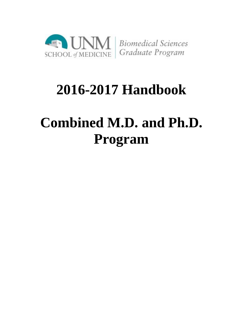

## **2016-2017 Handbook**

# **Combined M.D. and Ph.D. Program**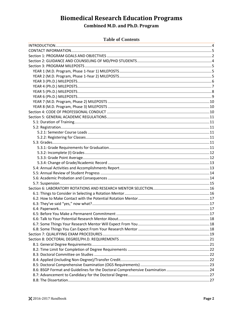#### **Table of Contents**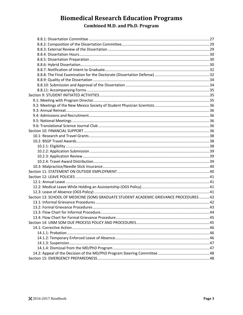| Section 13: SCHOOL OF MEDICINE (SOM) GRADUATE STUDENT ACADEMIC GRIEVANCE PROCEDURES42 |  |
|---------------------------------------------------------------------------------------|--|
|                                                                                       |  |
|                                                                                       |  |
|                                                                                       |  |
|                                                                                       |  |
|                                                                                       |  |
|                                                                                       |  |
|                                                                                       |  |
|                                                                                       |  |
|                                                                                       |  |
|                                                                                       |  |
|                                                                                       |  |
|                                                                                       |  |
|                                                                                       |  |
|                                                                                       |  |
|                                                                                       |  |
|                                                                                       |  |
|                                                                                       |  |
|                                                                                       |  |
|                                                                                       |  |
|                                                                                       |  |
|                                                                                       |  |
|                                                                                       |  |
|                                                                                       |  |
|                                                                                       |  |
|                                                                                       |  |
|                                                                                       |  |
|                                                                                       |  |
|                                                                                       |  |
|                                                                                       |  |
|                                                                                       |  |
|                                                                                       |  |
|                                                                                       |  |
|                                                                                       |  |
|                                                                                       |  |
|                                                                                       |  |
|                                                                                       |  |
|                                                                                       |  |
|                                                                                       |  |
|                                                                                       |  |
|                                                                                       |  |
|                                                                                       |  |
|                                                                                       |  |
|                                                                                       |  |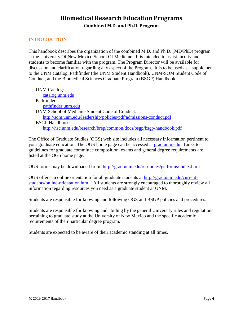### <span id="page-3-0"></span>**INTRODUCTION**

This handbook describes the organization of the combined M.D. and Ph.D. (MD/PhD) program at the University Of New Mexico School Of Medicine. It is intended to assist faculty and students to become familiar with the program. The Program Director will be available for discussion and clarification regarding any aspect of the Program. It is to be used as a supplement to the UNM Catalog, Pathfinder (the UNM Student Handbook), UNM-SOM Student Code of Conduct, and the Biomedical Sciences Graduate Program (BSGP) Handbook.

UNM Catalog: [catalog.unm.edu](http://catalog.unm.edu/) Pathfinder: [pathfinder.unm.edu](http://pathfinder.unm.edu/) UNM School of Medicine Student Code of Conduct: <http://som.unm.edu/leadership/policies/pdf/admissions-conduct.pdf> BSGP Handbook: <http://hsc.unm.edu/research/brep/common/docs/bsgp/bsgp-handbook.pdf>

The Office of Graduate Studies (OGS) web site includes all necessary information pertinent to your graduate education. The OGS home page can be accessed at [grad.unm.edu.](http://grad.unm.edu/) Links to guidelines for graduate committee composition, exams and general degree requirements are listed at the OGS home page.

OGS forms may be downloaded from:<http://grad.unm.edu/resources/gs-forms/index.html>

OGS offers an online orientation for all graduate students at [http://grad.unm.edu/current](http://grad.unm.edu/current-students/online-orientation.html)[students/online-orientation.html.](http://grad.unm.edu/current-students/online-orientation.html) All students are strongly encouraged to thoroughly review all information regarding resources you need as a graduate student at UNM.

Students are responsible for knowing and following OGS and BSGP policies and procedures.

Students are responsible for knowing and abiding by the general University rules and regulations pertaining to graduate study at the University of New Mexico and the specific academic requirements of their particular degree program.

Students are expected to be aware of their academic standing at all times.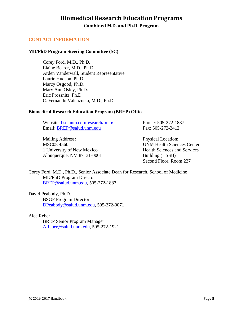## **Biomedical Research Education Programs**

**Combined M.D. and Ph.D. Program**

### <span id="page-4-0"></span>**CONTACT INFORMATION**

#### **MD/PhD Program Steering Committee (SC)**

Corey Ford, M.D., Ph.D. Elaine Bearer, M.D., Ph.D. Arden Vanderwall, Student Representative Laurie Hudson, Ph.D. Marcy Osgood, Ph.D. Mary Ann Osley, Ph.D. Eric Prossnitz, Ph.D. C. Fernando Valenzuela, M.D., Ph.D.

#### **Biomedical Research Education Program (BREP) Office**

Website: [hsc.unm.edu/research/brep/](http://hsc.unm.edu/research/brep/) Email: [BREP@salud.unm.edu](mailto:BREP@salud.unm.edu)

Mailing Address: MSC08 4560 1 University of New Mexico Albuquerque, NM 87131-0001 Phone: 505-272-1887 Fax: 505-272-2412

Physical Location: UNM Health Sciences Center Health Sciences and Services Building (HSSB) Second Floor, Room 227

Corey Ford, M.D., Ph.D., Senior Associate Dean for Research, School of Medicine MD/PhD Program Director [BREP@salud.unm.edu,](mailto:BREP@salud.unm.edu) 505-272-1887

David Peabody, Ph.D. BSGP Program Director [DPeabody@salud.unm.edu,](mailto:DPeabody@salud.unm.edu) 505-272-0071

#### Alec Reber

BREP Senior Program Manager [AReber@salud.unm.edu,](mailto:AReber@salud.unm.edu) 505-272-1921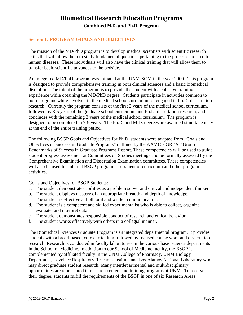### <span id="page-5-0"></span>**Section 1: PROGRAM GOALS AND OBJECTIVES**

The mission of the MD/PhD program is to develop medical scientists with scientific research skills that will allow them to study fundamental questions pertaining to the processes related to human diseases. These individuals will also have the clinical training that will allow them to transfer basic scientific advances to the bedside.

An integrated MD/PhD program was initiated at the UNM-SOM in the year 2000. This program is designed to provide comprehensive training in both clinical sciences and a basic biomedical discipline. The intent of the program is to provide the student with a cohesive training experience while obtaining the MD/PhD degree. Students participate in activities common to both programs while involved in the medical school curriculum or engaged in Ph.D. dissertation research. Currently the program consists of the first 2 years of the medical school curriculum, followed by 3-5 years of the graduate school curriculum and Ph.D. dissertation research, and concludes with the remaining 2 years of the medical school curriculum. The program is designed to be completed in 7-9 years. The Ph.D. and M.D. degrees are awarded simultaneously at the end of the entire training period.

The following BSGP Goals and Objectives for Ph.D. students were adapted from "Goals and Objectives of Successful Graduate Programs" outlined by the AAMC's GREAT Group Benchmarks of Success in Graduate Programs Report. These competencies will be used to guide student progress assessment at Committees on Studies meetings and be formally assessed by the Comprehensive Examination and Dissertation Examination committees. These competencies will also be used for internal BSGP program assessment of curriculum and other program activities.

Goals and Objectives for BSGP Students:

- a. The student demonstrates abilities as a problem solver and critical and independent thinker.
- b. The student displays mastery of an appropriate breadth and depth of knowledge.
- c. The student is effective at both oral and written communication.
- d. The student is a competent and skilled experimentalist who is able to collect, organize, evaluate, and interpret data.
- e. The student demonstrates responsible conduct of research and ethical behavior.
- f. The student works effectively with others in a collegial manner.

The Biomedical Sciences Graduate Program is an integrated departmental program. It provides students with a broad-based, core curriculum followed by focused course work and dissertation research. Research is conducted in faculty laboratories in the various basic science departments in the School of Medicine. In addition to our School of Medicine faculty, the BSGP is complemented by affiliated faculty in the UNM College of Pharmacy, UNM Biology Department, Lovelace Respiratory Research Institute and Los Alamos National Laboratory who may direct graduate student research. Many interdepartmental and multidisciplinary opportunities are represented in research centers and training programs at UNM. To receive their degree, students fulfill the requirements of the BSGP in one of six Research Areas: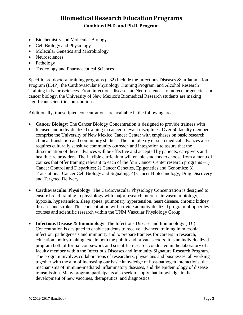- Biochemistry and Molecular Biology
- Cell Biology and Physiology
- Molecular Genetics and Microbiology
- Neurosciences
- Pathology
- Toxicology and Pharmaceutical Sciences

Specific pre-doctoral training programs (T32) include the Infectious Diseases & Inflammation Program (IDIP), the Cardiovascular Physiology Training Program, and Alcohol Research Training in Neurosciences. From infectious disease and Neurosciences to molecular genetics and cancer biology, the University of New Mexico's Biomedical Research students are making significant scientific contributions.

Additionally, transcripted concentrations are available in the following areas:

- **Cancer Biology**: The Cancer Biology Concentration is designed to provide trainees with focused and individualized training in cancer relevant disciplines. Over 50 faculty members comprise the University of New Mexico Cancer Center with emphases on basic research, clinical translation and community studies. The complexity of such medical advances also requires culturally sensitive community outreach and integration to assure that the dissemination of these advances will be effective and accepted by patients, caregivers and health care providers. The flexible curriculum will enable students to choose from a menu of courses that offer training relevant to each of the four Cancer Center research programs –1) Cancer Control and Disparities; 2) Cancer Genetics, Epigenetics and Genomics; 3) Translational Cancer Cell Biology and Signaling; 4) Cancer Biotechnology, Drug Discovery and Targeted Delivery.
- **Cardiovascular Physiology**: The Cardiovascular Physiology Concentration is designed to ensure broad training in physiology with major research interests in vascular biology, hypoxia, hypertension, sleep apnea, pulmonary hypertension, heart disease, chronic kidney disease, and stroke. This concentration will provide an individualized program of upper level courses and scientific research within the UNM Vascular Physiology Group.
- **Infectious Disease & Immunology**: The Infectious Disease and Immunology (IDI) Concentration is designed to enable students to receive advanced training in microbial infection, pathogenesis and immunity and to prepare trainees for careers in research, education, policy-making, etc. in both the public and private sectors. It is an individualized program both of formal coursework and scientific research conducted in the laboratory of a faculty member within the Infectious Diseases and Immunity Signature Research Program. The program involves collaborations of researchers, physicians and businesses, all working together with the aim of increasing our basic knowledge of host-pathogen interactions, the mechanisms of immune-mediated inflammatory diseases, and the epidemiology of disease transmission. Many program participants also seek to apply that knowledge in the development of new vaccines, therapeutics, and diagnostics.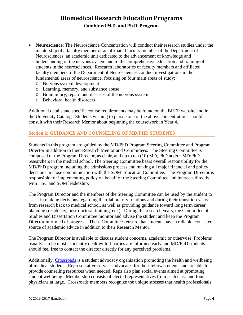- **Neuroscience**: The Neuroscience Concentration will conduct their research studies under the mentorship of a faculty member or an affiliated faculty member of the Department of Neurosciences, an academic unit dedicated to the advancement of knowledge and understanding of the nervous system and to the comprehensive education and training of students in the neurosciences. Research laboratories of faculty members and affiliated faculty members of the Department of Neurosciences conduct investigations in the fundamental areas of neuroscience, focusing on four main areas of study:
	- o Nervous system development
	- o Learning, memory, and substance abuse
	- o Brain injury, repair, and diseases of the nervous system
	- o Behavioral health disorders

Additional details and specific course requirements may be found on the BREP website and in the University Catalog. Students wishing to pursue one of the above concentrations should consult with their Research Mentor about beginning the coursework in Year 4.

### <span id="page-7-0"></span>**Section 2: GUIDANCE AND COUNSELING OF MD/PHD STUDENTS**

Students in this program are guided by the MD/PhD Program Steering Committee and Program Director in addition to their Research Mentor and Committees. The Steering Committee is composed of the Program Director, as chair, and up to ten (10) MD, PhD and/or MD/PhD researchers in the medical school. The Steering Committee bears overall responsibility for the MD/PhD program including the admissions process and making all major financial and policy decisions in close communication with the SOM Education Committee. The Program Director is responsible for implementing policy on behalf of the Steering Committee and interacts directly with HSC and SOM leadership.

The Program Director and the members of the Steering Committee can be used by the student to assist in making decisions regarding their laboratory rotations and during their transition years from research back to medical school, as well as providing guidance toward long term career planning (residency, post-doctoral training, etc.). During the research years, the Committee of Studies and Dissertation Committee monitor and advise the student and keep the Program Director informed of progress. These Committees ensure that students have a reliable, consistent source of academic advice in addition to their Research Mentor.

The Program Director is available to discuss student concerns, academic or otherwise. Problems usually can be most efficiently dealt with if parties are informed early and MD/PhD students should feel free to contact the director directly for any perceived problems.

Additionally, [Crossroads](https://unm-community.symplicity.com/?mode=form&id=99dc50ed6268c66a86c06284a9b80181) is a student advocacy organization promoting the health and wellbeing of medical students. Representative serve as advocates for their fellow students and are able to provide counseling resources when needed. Reps also plan social events aimed at promoting student wellbeing. Membership consists of elected representatives from each class and four physicians at large. Crossroads members recognize the unique stresses that health professionals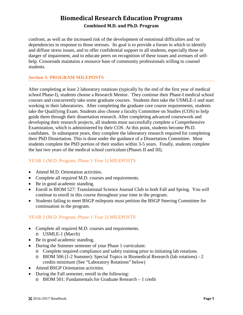confront, as well as the increased risk of the development of emotional difficulties and /or dependencies in response to those stresses. Its goal is to provide a forum in which to identify and diffuse stress issues, and to offer confidential support to all students, especially those in danger of impairment, and to educate peers on recognition of these issues and avenues of selfhelp. Crossroads maintains a resource base of community professionals willing to counsel students.

### <span id="page-8-0"></span>**Section 3: PROGRAM MILEPOSTS**

After completing at least 2 laboratory rotations (typically by the end of the first year of medical school Phase-I), students choose a Research Mentor. They continue their Phase-I medical school courses and concurrently take some graduate courses. Students then take the USMLE-1 and start working in their laboratories. After completing the graduate core course requirements, students take the Qualifying Exam. Students also choose a faculty Committee on Studies (COS) to help guide them through their dissertation research. After completing advanced coursework and developing their research projects, all students must successfully complete a Comprehensive Examination, which is administered by their COS. At this point, students become Ph.D. candidates. In subsequent years, they complete the laboratory research required for completing their PhD Dissertation. This is done under the guidance of a Dissertation Committee. Most students complete the PhD portion of their studies within 3-5 years. Finally, students complete the last two years of the medical school curriculum (Phases II and III).

### <span id="page-8-1"></span>YEAR 1 (M.D. Program, Phase 1-Year 1) MILEPOSTS

- Attend M.D. Orientation activities.
- Complete all required M.D. courses and requirements.
- Be in good academic standing.
- Enroll in BIOM 527: Translational Science Journal Club in both Fall and Spring. You will continue to enroll in this course throughout your time in the program.
- Students failing to meet BSGP mileposts must petition the BSGP Steering Committee for continuation in the program.

### <span id="page-8-2"></span>YEAR 2 (M.D. Program, Phase 1-Year 2) MILEPOSTS

- Complete all required M.D. courses and requirements. o USMLE-1 (March)
- Be in good academic standing.
- During the Summer semester of your Phase 1 curriculum:
	- o Complete required compliance and safety training prior to initiating lab rotations.
	- o BIOM 506 (1-2 Summer): Special Topics in Biomedical Research (lab rotations) 2 credits minimum (See "Laboratory Rotations" below)
- Attend BSGP Orientation activities.
- During the Fall semester, enroll in the following:
	- o BIOM 501: Fundamentals for Graduate Research 1 credit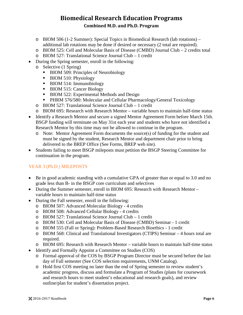- o BIOM 506 (1-2 Summer): Special Topics in Biomedical Research (lab rotations) additional lab rotations may be done if desired or necessary (2 total are required).
- o BIOM 525: Cell and Molecular Basis of Disease (CMBD) Journal Club 2 credits total
- o BIOM 527: Translational Science Journal Club 1 credit
- During the Spring semester, enroll in the following:
	- o Selective (1 Spring)
		- BIOM 509: Principles of Neurobiology
		- BIOM 510: Physiology
		- BIOM 514: Immunobiology
		- BIOM 515: Cancer Biology
		- **BIOM 522: Experimental Methods and Design**
		- **PHRM 576/580: Molecular and Cellular Pharmacology/General Toxicology**
	- o BIOM 527: Translational Science Journal Club 1 credit
	- o BIOM 695: Research with Research Mentor variable hours to maintain half-time status
- Identify a Research Mentor and secure a signed Mentor Agreement Form before March 15th. BSGP funding will terminate on May 31st each year and students who have not identified a Research Mentor by this time may not be allowed to continue in the program.
	- o Note: Mentor Agreement Form documents the source(s) of funding for the student and must be signed by the student, Research Mentor and department chair prior to bring delivered to the BREP Office (See Forms, BREP web site).
- Students failing to meet BSGP mileposts must petition the BSGP Steering Committee for continuation in the program.

### <span id="page-9-0"></span>YEAR 3 (Ph.D.) MILEPOSTS

- Be in good academic standing with a cumulative GPA of greater than or equal to 3.0 and no grade less than B- in the BSGP core curriculum and selectives
- During the Summer semester, enroll in BIOM 695: Research with Research Mentor variable hours to maintain half-time status
- During the Fall semester, enroll in the following:
	- o BIOM 507: Advanced Molecular Biology 4 credits
	- o BIOM 508: Advanced Cellular Biology 4 credits
	- o BIOM 527: Translational Science Journal Club 1 credit
	- o BIOM 530: Cell and Molecular Basis of Disease (CMBD) Seminar 1 credit
	- o BIOM 555 (Fall or Spring): Problem-Based Research Bioethics 1 credit
	- o BIOM 568: Clinical and Translational Investigators (CTIPS) Seminar 4 hours total are required.
	- o BIOM 695: Research with Research Mentor variable hours to maintain half-time status
- Identify and Formally Appoint a Committee on Studies (COS)
	- o Formal approval of the COS by BSGP Program Director must be secured before the last day of Fall semester (See COS selection requirements, UNM Catalog).
	- o Hold first COS meeting no later than the end of Spring semester to review student's academic progress, discuss and formulate a Program of Studies (plans for coursework and research hours to meet student's educational and research goals), and review outline/plan for student's dissertation project.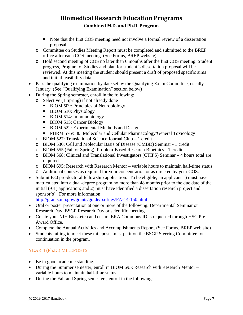- Note that the first COS meeting need not involve a formal review of a dissertation proposal.
- o Committee on Studies Meeting Report must be completed and submitted to the BREP office after each COS meeting. (See Forms, BREP website)
- o Hold second meeting of COS no later than 6 months after the first COS meeting. Student progress, Program of Studies and plan for student's dissertation proposal will be reviewed. At this meeting the student should present a draft of proposed specific aims and initial feasibility data.
- Pass the qualifying examination by date set by the Qualifying Exam Committee, usually January. (See "Qualifying Examination" section below)
- During the Spring semester, enroll in the following:
	- o Selective (1 Spring) if not already done
		- BIOM 509: Principles of Neurobiology
		- BIOM 510: Physiology
		- BIOM 514: Immunobiology
		- BIOM 515: Cancer Biology
		- BIOM 522: Experimental Methods and Design
		- **PHRM 576/580: Molecular and Cellular Pharmacology/General Toxicology**
	- o BIOM 527: Translational Science Journal Club 1 credit
	- o BIOM 530: Cell and Molecular Basis of Disease (CMBD) Seminar 1 credit
	- o BIOM 555 (Fall or Spring): Problem-Based Research Bioethics 1 credit
	- o BIOM 568: Clinical and Translational Investigators (CTIPS) Seminar 4 hours total are required.
	- o BIOM 695: Research with Research Mentor variable hours to maintain half-time status
	- o Additional courses as required for your concentration or as directed by your COS.
- Submit F30 pre-doctoral fellowship application. To be eligible, an applicant 1) must have matriculated into a dual-degree program no more than 48 months prior to the due date of the initial (-01) application; and 2) must have identified a dissertation research project and sponsor(s). For more information:

<http://grants.nih.gov/grants/guide/pa-files/PA-14-150.html>

- Oral or poster presentation at one or more of the following: Departmental Seminar or Research Day, BSGP Research Day or scientific meeting.
- Create your NIH Biosketch and ensure ERA Commons ID is requested through HSC Pre-Award Office.
- Complete the Annual Activities and Accomplishments Report. (See Forms, BREP web site)
- Students failing to meet these mileposts must petition the BSGP Steering Committee for continuation in the program.

### <span id="page-10-0"></span>YEAR 4 (Ph.D.) MILEPOSTS

- Be in good academic standing.
- During the Summer semester, enroll in BIOM 695: Research with Research Mentor variable hours to maintain half-time status
- During the Fall and Spring semesters, enroll in the following: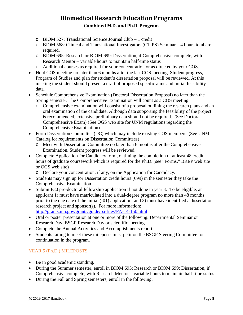- o BIOM 527: Translational Science Journal Club 1 credit
- o BIOM 568: Clinical and Translational Investigators (CTIPS) Seminar 4 hours total are required.
- o BIOM 695: Research or BIOM 699: Dissertation, if Comprehensive complete, with Research Mentor – variable hours to maintain half-time status
- o Additional courses as required for your concentration or as directed by your COS.
- Hold COS meeting no later than 6 months after the last COS meeting. Student progress, Program of Studies and plan for student's dissertation proposal will be reviewed. At this meeting the student should present a draft of proposed specific aims and initial feasibility data.
- Schedule Comprehensive Examination (Doctoral Dissertation Proposal) no later than the Spring semester. The Comprehensive Examination will count as a COS meeting.
	- o Comprehensive examination will consist of a proposal outlining the research plans and an oral examination of the candidate. Although data supporting the feasibility of the project is recommended, extensive preliminary data should not be required. (See Doctoral Comprehensive Exam) (See OGS web site for UNM regulations regarding the Comprehensive Examination)
- Form Dissertation Committee (DC) which may include existing COS members. (See UNM Catalog for requirements on Dissertation Committees)
	- o Meet with Dissertation Committee no later than 6 months after the Comprehensive Examination. Student progress will be reviewed.
- Complete Application for Candidacy form, outlining the completion of at least 48 credit hours of graduate coursework which is required for the Ph.D. (see "Forms," BREP web site or OGS web site)
	- o Declare your concentration, if any, on the Application for Candidacy.
- Students may sign up for Dissertation credit hours (699) in the semester they take the Comprehensive Examination.
- Submit F30 pre-doctoral fellowship application if not done in year 3. To be eligible, an applicant 1) must have matriculated into a dual-degree program no more than 48 months prior to the due date of the initial (-01) application; and 2) must have identified a dissertation research project and sponsor(s). For more information: <http://grants.nih.gov/grants/guide/pa-files/PA-14-150.html>
- Oral or poster presentation at one or more of the following: Departmental Seminar or Research Day, BSGP Research Day or scientific meeting.
- Complete the Annual Activities and Accomplishments report
- Students failing to meet these mileposts must petition the BSGP Steering Committee for continuation in the program.

### <span id="page-11-0"></span>YEAR 5 (Ph.D.) MILEPOSTS

- Be in good academic standing.
- During the Summer semester, enroll in BIOM 695: Research or BIOM 699: Dissertation, if Comprehensive complete, with Research Mentor – variable hours to maintain half-time status
- During the Fall and Spring semesters, enroll in the following: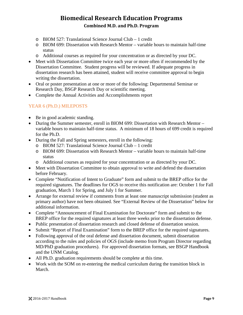- o BIOM 527: Translational Science Journal Club 1 credit
- o BIOM 699: Dissertation with Research Mentor variable hours to maintain half-time status
- o Additional courses as required for your concentration or as directed by your DC.
- Meet with Dissertation Committee twice each year or more often if recommended by the Dissertation Committee. Student progress will be reviewed. If adequate progress in dissertation research has been attained, student will receive committee approval to begin writing the dissertation.
- Oral or poster presentation at one or more of the following: Departmental Seminar or Research Day, BSGP Research Day or scientific meeting.
- Complete the Annual Activities and Accomplishments report

### <span id="page-12-0"></span>YEAR 6 (Ph.D.) MILEPOSTS

- Be in good academic standing.
- During the Summer semester, enroll in BIOM 699: Dissertation with Research Mentor variable hours to maintain half-time status. A minimum of 18 hours of 699 credit is required for the Ph.D.
- During the Fall and Spring semesters, enroll in the following:
	- o BIOM 527: Translational Science Journal Club 1 credit
	- o BIOM 699: Dissertation with Research Mentor variable hours to maintain half-time status
	- o Additional courses as required for your concentration or as directed by your DC.
- Meet with Dissertation Committee to obtain approval to write and defend the dissertation before February.
- Complete "Notification of Intent to Graduate" form and submit to the BREP office for the required signatures. The deadlines for OGS to receive this notification are: October 1 for Fall graduation, March 1 for Spring, and July 1 for Summer.
- Arrange for external review if comments from at least one manuscript submission (student as primary author) have not been obtained. See "External Review of the Dissertation" below for additional information.
- Complete "Announcement of Final Examination for Doctorate" form and submit to the BREP office for the required signatures at least three weeks prior to the dissertation defense.
- Public presentation of dissertation research and closed defense of dissertation session.
- Submit "Report of Final Examination" form to the BREP office for the required signatures.
- Following approval of the oral defense and dissertation document, submit dissertation according to the rules and policies of OGS (include memo from Program Director regarding MD/PhD graduation procedures). For approved dissertation formats, see BSGP Handbook and the UNM Catalog.
- All Ph.D. graduation requirements should be complete at this time.
- Work with the SOM on re-entering the medical curriculum during the transition block in March.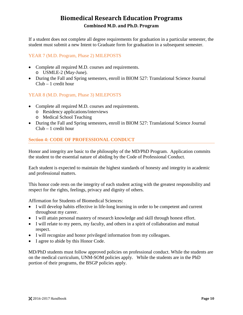If a student does not complete all degree requirements for graduation in a particular semester, the student must submit a new Intent to Graduate form for graduation in a subsequent semester.

### <span id="page-13-0"></span>YEAR 7 (M.D. Program, Phase 2) MILEPOSTS

- Complete all required M.D. courses and requirements. o USMLE-2 (May-June).
- During the Fall and Spring semesters, enroll in BIOM 527: Translational Science Journal Club – 1 credit hour

### <span id="page-13-1"></span>YEAR 8 (M.D. Program, Phase 3) MILEPOSTS

- Complete all required M.D. courses and requirements.
	- o Residency applications/interviews
	- o Medical School Teaching
- During the Fall and Spring semesters, enroll in BIOM 527: Translational Science Journal Club – 1 credit hour

### <span id="page-13-2"></span>**Section 4: CODE OF PROFESSIONAL CONDUCT**

Honor and integrity are basic to the philosophy of the MD/PhD Program. Application commits the student to the essential nature of abiding by the Code of Professional Conduct.

Each student is expected to maintain the highest standards of honesty and integrity in academic and professional matters.

This honor code rests on the integrity of each student acting with the greatest responsibility and respect for the rights, feelings, privacy and dignity of others.

Affirmation for Students of Biomedical Sciences:

- I will develop habits effective in life-long learning in order to be competent and current throughout my career.
- I will attain personal mastery of research knowledge and skill through honest effort.
- I will relate to my peers, my faculty, and others in a spirit of collaboration and mutual respect.
- I will recognize and honor privileged information from my colleagues.
- I agree to abide by this Honor Code.

MD/PhD students must follow approved policies on professional conduct. While the students are on the medical curriculum, UNM-SOM policies apply. While the students are in the PhD portion of their programs, the BSGP policies apply.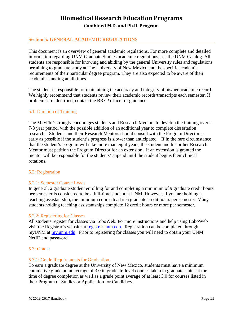### <span id="page-14-0"></span>**Section 5: GENERAL ACADEMIC REGULATIONS**

This document is an overview of general academic regulations. For more complete and detailed information regarding UNM Graduate Studies academic regulations, see the UNM Catalog. All students are responsible for knowing and abiding by the general University rules and regulations pertaining to graduate study at The University of New Mexico and the specific academic requirements of their particular degree program. They are also expected to be aware of their academic standing at all times.

The student is responsible for maintaining the accuracy and integrity of his/her academic record. We highly recommend that students review their academic records/transcripts each semester. If problems are identified, contact the BREP office for guidance.

#### <span id="page-14-1"></span>5.1: Duration of Training

The MD/PhD strongly encourages students and Research Mentors to develop the training over a 7-8 year period, with the possible addition of an additional year to complete dissertation research. Students and their Research Mentors should consult with the Program Director as early as possible if the student's progress is slower than anticipated. If in the rare circumstance that the student's program will take more than eight years, the student and his or her Research Mentor must petition the Program Director for an extension. If an extension is granted the mentor will be responsible for the students' stipend until the student begins their clinical rotations.

#### <span id="page-14-2"></span>5.2: Registration

#### <span id="page-14-3"></span>5.2.1: Semester Course Loads

In general, a graduate student enrolling for and completing a minimum of 9 graduate credit hours per semester is considered to be a full-time student at UNM. However, if you are holding a teaching assistantship, the minimum course load is 6 graduate credit hours per semester. Many students holding teaching assistantships complete 12 credit hours or more per semester.

#### <span id="page-14-4"></span>5.2.2: Registering for Classes

All students register for classes via LoboWeb. For more instructions and help using LoboWeb visit the Registrar's website at [registrar.unm.edu.](http://registrar.unm.edu/) Registration can be completed through myUNM at [my.unm.edu.](http://my.unm.edu/) Prior to registering for classes you will need to obtain your UNM NetID and password.

#### <span id="page-14-5"></span>5.3: Grades

#### <span id="page-14-6"></span>5.3.1: Grade Requirements for Graduation

To earn a graduate degree at the University of New Mexico, students must have a minimum cumulative grade point average of 3.0 in graduate-level courses taken in graduate status at the time of degree completion as well as a grade point average of at least 3.0 for courses listed in their Program of Studies or Application for Candidacy.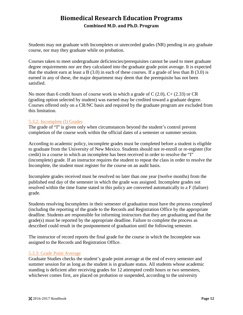Students may not graduate with Incompletes or unrecorded grades (NR) pending in any graduate course, nor may they graduate while on probation.

Courses taken to meet undergraduate deficiencies/prerequisites cannot be used to meet graduate degree requirements nor are they calculated into the graduate grade point average. It is expected that the student earn at least a B (3.0) in each of these courses. If a grade of less than B (3.0) is earned in any of these, the major department may deem that the prerequisite has not been satisfied.

No more than 6 credit hours of course work in which a grade of C  $(2.0)$ , C+ $(2.33)$  or CR (grading option selected by student) was earned may be credited toward a graduate degree. Courses offered only on a CR/NC basis and required by the graduate program are excluded from this limitation.

### <span id="page-15-0"></span>5.3.2: Incomplete (I) Grades

The grade of "I" is given only when circumstances beyond the student's control prevent completion of the course work within the official dates of a semester or summer session.

According to academic policy, incomplete grades must be completed before a student is eligible to graduate from the University of New Mexico. Students should not re-enroll or re-register (for credit) in a course in which an incomplete has been received in order to resolve the "I" (incomplete) grade. If an instructor requires the student to repeat the class in order to resolve the Incomplete, the student must register for the course on an audit basis.

Incomplete grades received must be resolved no later than one year (twelve months) from the published end day of the semester in which the grade was assigned. Incomplete grades not resolved within the time frame stated in this policy are converted automatically to a F (failure) grade.

Students resolving Incompletes in their semester of graduation must have the process completed (including the reporting of the grade to the Records and Registration Office by the appropriate deadline. Students are responsible for informing instructors that they are graduating and that the grade(s) must be reported by the appropriate deadline. Failure to complete the process as described could result in the postponement of graduation until the following semester.

The instructor of record reports the final grade for the course in which the Incomplete was assigned to the Records and Registration Office.

### <span id="page-15-1"></span>5.3.3: Grade Point Average

Graduate Studies checks the student's grade point average at the end of every semester and summer session for as long as the student is in graduate status. All students whose academic standing is deficient after receiving grades for 12 attempted credit hours or two semesters, whichever comes first, are placed on probation or suspended, according to the university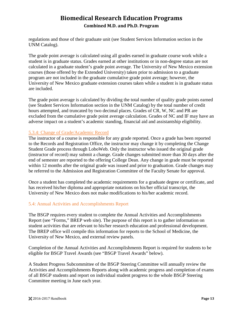regulations and those of their graduate unit (see Student Services Information section in the UNM Catalog).

The grade point average is calculated using all grades earned in graduate course work while a student is in graduate status. Grades earned at other institutions or in non-degree status are not calculated in a graduate student's grade point average. The University of New Mexico extension courses (those offered by the Extended University) taken prior to admission to a graduate program are not included in the graduate cumulative grade point average; however, the University of New Mexico graduate extension courses taken while a student is in graduate status are included.

The grade point average is calculated by dividing the total number of quality grade points earned (see Student Services Information section in the UNM Catalog) by the total number of credit hours attempted, and truncated by two decimal places. Grades of CR, W, NC and PR are excluded from the cumulative grade point average calculation. Grades of NC and IF may have an adverse impact on a student's academic standing, financial aid and assistantship eligibility.

### <span id="page-16-0"></span>5.3.4: Change of Grade/Academic Record

The instructor of a course is responsible for any grade reported. Once a grade has been reported to the Records and Registration Office, the instructor may change it by completing the Change Student Grade process through LoboWeb. Only the instructor who issued the original grade (instructor of record) may submit a change. Grade changes submitted more than 30 days after the end of semester are reported to the offering College Dean. Any change in grade must be reported within 12 months after the original grade was issued and prior to graduation. Grade changes may be referred to the Admission and Registration Committee of the Faculty Senate for approval.

Once a student has completed the academic requirements for a graduate degree or certificate, and has received his/her diploma and appropriate notations on his/her official transcript, the University of New Mexico does not make modifications to his/her academic record.

### <span id="page-16-1"></span>5.4: Annual Activities and Accomplishments Report

The BSGP requires every student to complete the Annual Activities and Accomplishments Report (see "Forms," BREP web site). The purpose of this report is to gather information on student activities that are relevant to his/her research education and professional development. The BREP office will compile this information for reports to the School of Medicine, the University of New Mexico, and external review panels.

Completion of the Annual Activities and Accomplishments Report is required for students to be eligible for BSGP Travel Awards (see "BSGP Travel Awards" below).

A Student Progress Subcommittee of the BSGP Steering Committee will annually review the Activities and Accomplishments Reports along with academic progress and completion of exams of all BSGP students and report on individual student progress to the whole BSGP Steering Committee meeting in June each year.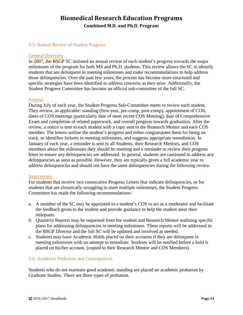#### <span id="page-17-0"></span>5.5: Annual Review of Student Progress

#### General Overview

In 2007, the BSGP SC initiated an annual review of each student's progress towards the major milestones of the program for both MS and Ph.D. students. This review allows the SC to identify students that are delinquent in meeting milestones and make recommendations to help address those delinquencies. Over the past few years, the process has become more structured and specific strategies have been identified to address concerns as they arise. Additionally, the Student Progress Committee has become an official sub-committee of the full SC.

#### **Process**

During July of each year, the Student Progress Sub-Committee meets to review each student. They review, as applicable: standing (first-year, pre-comp, post-comp), appointment of COS, dates of COS meetings (particularly date of most recent COS Meeting), date of Comprehensive Exam and completion of related paperwork, and overall progress towards graduation. After the review, a notice is sent to each student with a copy sent to the Research Mentor and each COS member. The letters outline the student's progress and either congratulates them for being on track, or identifies failures in meeting milestones, and suggests appropriate remediation. In January of each year, a reminder is sent to all Students, their Research Mentors, and COS members about the milestones they should be meeting and a reminder to review their progress letter to ensure any delinquencies are addressed. In general, students are cautioned to address any delinquencies as soon as possible. However, they are typically given a full academic year to address delinquencies and should not have the same delinquencies during the following review.

#### Intervention

For students that receive two consecutive Progress Letters that indicate delinquencies, or for students that are chronically struggling to meet multiple milestones, the Student Progress Committee has made the following recommendations:

- a. A member of the SC may be appointed to a student's COS to act as a moderator and facilitate the feedback given to the student and provide guidance to help the student meet their mileposts.
- b. Quarterly Reports may be requested from the student and Research Mentor outlining specific plans for addressing delinquencies in meeting milestones. These reports will be addressed to the BSGP Director and the full SC will be updated and involved as needed.
- c. Students may have Academic Holds placed on their accounts if they are delinquent in meeting milestones with no attempt to remediate. Students will be notified before a hold is placed on his/her account, (copied to their Research Mentor and COS Members).

#### <span id="page-17-1"></span>5.6: Academic Probation and Consequences

Students who do not maintain good academic standing are placed on academic probation by Graduate Studies. There are three types of probation.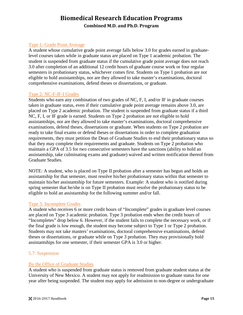### Type 1: Grade Point Average

A student whose cumulative grade point average falls below 3.0 for grades earned in graduatelevel courses taken while in graduate status are placed on Type 1 academic probation. The student is suspended from graduate status if the cumulative grade point average does not reach 3.0 after completion of an additional 12 credit hours of graduate course work or four regular semesters in probationary status, whichever comes first. Students on Type 1 probation are not eligible to hold assistantships, nor are they allowed to take master's examinations, doctoral comprehensive examinations, defend theses or dissertations, or graduate.

#### Type 2: NC-F-IF-I Grades

Students who earn any combination of two grades of NC, F, I, and/or IF in graduate courses taken in graduate status, even if their cumulative grade point average remains above 3.0, are placed on Type 2 academic probation. The student is suspended from graduate status if a third NC, F, I, or IF grade is earned. Students on Type 2 probation are not eligible to hold assistantships, nor are they allowed to take master's examinations, doctoral comprehensive examinations, defend theses, dissertations or graduate. When students on Type 2 probation are ready to take final exams or defend theses or dissertations in order to complete graduation requirements, they must petition the Dean of Graduate Studies to end their probationary status so that they may complete their requirements and graduate. Students on Type 2 probation who maintain a GPA of 3.5 for two consecutive semesters have the sanctions (ability to hold an assistantship, take culminating exams and graduate) waived and written notification thereof from Graduate Studies.

NOTE: A student, who is placed on Type II probation after a semester has begun and holds an assistantship for that semester, must resolve his/her probationary status within that semester to maintain his/her assistantship for future semesters. Example: A student who is notified during spring semester that he/she is on Type II probation must resolve the probationary status to be eligible to hold an assistantship for the following summer and/or fall.

#### Type 3: Incomplete Grades

A student who receives 6 or more credit hours of "Incomplete" grades in graduate level courses are placed on Type 3 academic probation. Type 3 probation ends when the credit hours of "Incompletes" drop below 6. However, if the student fails to complete the necessary work, or if the final grade is low enough, the student may become subject to Type 1 or Type 2 probation. Students may not take masters' examinations, doctoral comprehensive examinations, defend theses or dissertations, or graduate while on Type 3 probation. They may provisionally hold assistantships for one semester, if their semester GPA is 3.0 or higher.

#### <span id="page-18-0"></span>5.7: Suspension

#### By the Office of Graduate Studies

A student who is suspended from graduate status is removed from graduate student status at the University of New Mexico. A student may not apply for readmission to graduate status for one year after being suspended. The student may apply for admission to non-degree or undergraduate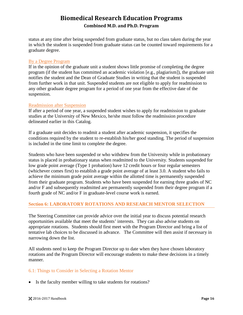status at any time after being suspended from graduate status, but no class taken during the year in which the student is suspended from graduate status can be counted toward requirements for a graduate degree.

#### By a Degree Program

If in the opinion of the graduate unit a student shows little promise of completing the degree program (if the student has committed an academic violation [e.g., plagiarism]), the graduate unit notifies the student and the Dean of Graduate Studies in writing that the student is suspended from further work in that unit. Suspended students are not eligible to apply for readmission to any other graduate degree program for a period of one year from the effective date of the suspension.

#### Readmission after Suspension

If after a period of one year, a suspended student wishes to apply for readmission to graduate studies at the University of New Mexico, he/she must follow the readmission procedure delineated earlier in this Catalog.

If a graduate unit decides to readmit a student after academic suspension, it specifies the conditions required by the student to re-establish his/her good standing. The period of suspension is included in the time limit to complete the degree.

Students who have been suspended or who withdrew from the University while in probationary status is placed in probationary status when readmitted to the University. Students suspended for low grade point average (Type 1 probation) have 12 credit hours or four regular semesters (whichever comes first) to establish a grade point average of at least 3.0. A student who fails to achieve the minimum grade point average within the allotted time is permanently suspended from their graduate program. Students who have been suspended for earning three grades of NC and/or F and subsequently readmitted are permanently suspended from their degree program if a fourth grade of NC and/or F in graduate-level course work is earned.

### <span id="page-19-0"></span>**Section 6: LABORATORY ROTATIONS AND RESEARCH MENTOR SELECTION**

The Steering Committee can provide advice over the initial year to discuss potential research opportunities available that meet the students' interests. They can also advise students on appropriate rotations. Students should first meet with the Program Director and bring a list of tentative lab choices to be discussed in advance. The Committee will then assist if necessary in narrowing down the list.

All students need to keep the Program Director up to date when they have chosen laboratory rotations and the Program Director will encourage students to make these decisions in a timely manner.

### <span id="page-19-1"></span>6.1: Things to Consider in Selecting a Rotation Mentor

• Is the faculty member willing to take students for rotations?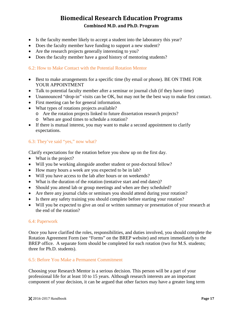- Is the faculty member likely to accept a student into the laboratory this year?
- Does the faculty member have funding to support a new student?
- Are the research projects generally interesting to you?
- Does the faculty member have a good history of mentoring students?

### <span id="page-20-0"></span>6.2: How to Make Contact with the Potential Rotation Mentor

- Best to make arrangements for a specific time (by email or phone). BE ON TIME FOR YOUR APPOINTMENT
- Talk to potential faculty member after a seminar or journal club (if they have time)
- Unannounced "drop-in" visits can be OK, but may not be the best way to make first contact.
- First meeting can be for general information.
- What types of rotations projects available?
	- o Are the rotation projects linked to future dissertation research projects?
	- o When are good times to schedule a rotation?
- If there is mutual interest, you may want to make a second appointment to clarify expectations.

### <span id="page-20-1"></span>6.3: They've said "yes," now what?

Clarify expectations for the rotation before you show up on the first day.

- What is the project?
- Will you be working alongside another student or post-doctoral fellow?
- How many hours a week are you expected to be in lab?
- Will you have access to the lab after hours or on weekends?
- What is the duration of the rotation (tentative start and end dates)?
- Should you attend lab or group meetings and when are they scheduled?
- Are there any journal clubs or seminars you should attend during your rotation?
- Is there any safety training you should complete before starting your rotation?
- Will you be expected to give an oral or written summary or presentation of your research at the end of the rotation?

#### <span id="page-20-2"></span>6.4: Paperwork

Once you have clarified the roles, responsibilities, and duties involved, you should complete the Rotation Agreement Form (see "Forms" on the BREP website) and return immediately to the BREP office. A separate form should be completed for each rotation (two for M.S. students; three for Ph.D. students).

#### <span id="page-20-3"></span>6.5: Before You Make a Permanent Commitment

Choosing your Research Mentor is a serious decision. This person will be a part of your professional life for at least 10 to 15 years. Although research interests are an important component of your decision, it can be argued that other factors may have a greater long term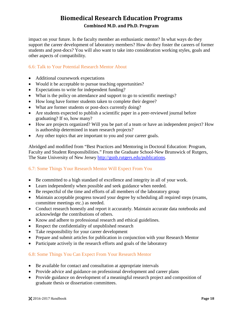impact on your future. Is the faculty member an enthusiastic mentor? In what ways do they support the career development of laboratory members? How do they foster the careers of former students and post-docs? You will also want to take into consideration working styles, goals and other aspects of compatibility.

### <span id="page-21-0"></span>6.6: Talk to Your Potential Research Mentor About

- Additional coursework expectations
- Would it be acceptable to pursue teaching opportunities?
- Expectations to write for independent funding?
- What is the policy on attendance and support to go to scientific meetings?
- How long have former students taken to complete their degree?
- What are former students or post-docs currently doing?
- Are students expected to publish a scientific paper in a peer-reviewed journal before graduating? If so, how many?
- How are projects organized? Will you be part of a team or have an independent project? How is authorship determined in team research projects?
- Any other topics that are important to you and your career goals.

Abridged and modified from "Best Practices and Mentoring in Doctoral Education: Program, Faculty and Student Responsibilities." From the Graduate School-New Brunswick of Rutgers, The State University of New Jersey [http://gsnb.rutgers.edu/publications.](http://gsnb.rutgers.edu/publications)

### <span id="page-21-1"></span>6.7: Some Things Your Research Mentor Will Expect From You

- Be committed to a high standard of excellence and integrity in all of your work.
- Learn independently when possible and seek guidance when needed.
- Be respectful of the time and efforts of all members of the laboratory group
- Maintain acceptable progress toward your degree by scheduling all required steps (exams, committee meetings etc.) as needed.
- Conduct research honestly and report it accurately. Maintain accurate data notebooks and acknowledge the contributions of others.
- Know and adhere to professional research and ethical guidelines.
- Respect the confidentiality of unpublished research
- Take responsibility for your career development
- Prepare and submit articles for publication in conjunction with your Research Mentor
- Participate actively in the research efforts and goals of the laboratory

### <span id="page-21-2"></span>6.8: Some Things You Can Expect From Your Research Mentor

- Be available for contact and consultation at appropriate intervals
- Provide advice and guidance on professional development and career plans
- Provide guidance on development of a meaningful research project and composition of graduate thesis or dissertation committees.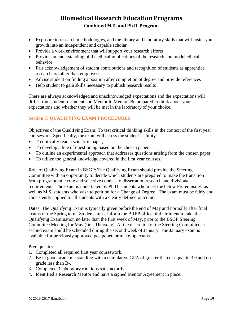- Exposure to research methodologies, and the library and laboratory skills that will foster your growth into an independent and capable scholar
- Provide a work environment that will support your research efforts
- Provide an understanding of the ethical implications of the research and model ethical behavior
- Fair acknowledgement of student contributions and recognition of students as apprentice researchers rather than employees
- Advise student on finding a position after completion of degree and provide references
- Help student to gain skills necessary to publish research results

There are always acknowledged and unacknowledged expectations and the expectations will differ from student to student and Mentor to Mentor. Be prepared to think about your expectations and whether they will be met in the laboratory of your choice.

### <span id="page-22-0"></span>**Section 7: QUALIFYING EXAM PROCEDURES**

Objectives of the Qualifying Exam: To test critical thinking skills in the context of the first year coursework. Specifically, the exam will assess the student's ability:

- To critically read a scientific paper,
- To develop a line of questioning based on the chosen paper,
- To outline an experimental approach that addresses questions arising from the chosen paper,
- To utilize the general knowledge covered in the first year courses.

Role of Qualifying Exam in BSGP: The Qualifying Exam should provide the Steering Committee with an opportunity to decide which students are prepared to make the transition from programmatic core and selective courses to dissertation research and divisional requirements. The exam is undertaken by Ph.D. students who meet the below Prerequisites, as well as M.S. students who wish to petition for a Change of Degree. The exam must be fairly and consistently applied to all students with a clearly defined outcome.

Dates: The Qualifying Exam is typically given before the end of May and normally after final exams of the Spring term. Students must inform the BREP office of their intent to take the Qualifying Examination no later than the first week of May, prior to the BSGP Steering Committee Meeting for May (first Thursday). At the discretion of the Steering Committee, a second exam could be scheduled during the second week of January. The January exam is available for previously approved postponed or make-up exams.

Prerequisites:

- 1. Completed all required first year coursework.
- 2. Be in good academic standing with a cumulative GPA of greater than or equal to 3.0 and no grade less than B-.
- 3. Completed 3 laboratory rotations satisfactorily
- 4. Identified a Research Mentor and have a signed Mentor Agreement in place.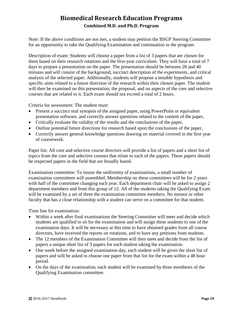Note: If the above conditions are not met, a student may petition the BSGP Steering Committee for an opportunity to take the Qualifying Examination and continuation in the program.

Description of exam: Students will choose a paper from a list of 3 papers that are chosen for them based on their research rotations and the first-year curriculum. They will have a total of 7 days to prepare a presentation on the paper. The presentation should be between 20 and 40 minutes and will consist of the background, succinct description of the experiments, and critical analysis of the selected paper. Additionally, students will propose a testable hypothesis and specific aims related to a future direction of the research within their chosen paper. The student will then be examined on this presentation, the proposal, and on aspects of the core and selective courses that are related to it. Each exam should not exceed a total of 2 hours.

Criteria for assessment: The student must:

- Present a succinct oral synopsis of the assigned paper, using PowerPoint or equivalent presentation software, and correctly answer questions related to the content of the paper,
- Critically evaluate the validity of the results and the conclusions of the paper,
- Outline potential future directions for research based upon the conclusions of the paper,
- Correctly answer general knowledge questions drawing on material covered in the first year of coursework.

Paper list: All core and selective course directors will provide a list of papers and a short list of topics from the core and selective courses that relate to each of the papers. These papers should be respected papers in the field that are broadly based.

Examination committee: To insure the uniformity of examinations, a small number of examination committees will assembled. Membership on these committees will be for 2 years with half of the committee changing each year. Each department chair will be asked to assign 2 department members and from this group of 12. All of the students taking the Qualifying Exam will be examined by a set of three the examination committee members. No mentor or other faculty that has a close relationship with a student can serve on a committee for that student.

Time line for examination:

- Within a week after final examinations the Steering Committee will meet and decide which students are qualified to sit for the examination and will assign these students to one of the examination days. It will be necessary at this time to have obtained grades from all course directors, have received the reports on rotations, and to have any petitions from students.
- The 12 members of the Examination Committee will then meet and decide from the list of papers a unique short list of 3 papers for each student taking the examination.
- One week before the assigned examination day, each student will be given the short list of papers and will be asked to choose one paper from that list for the exam within a 48 hour period.
- On the days of the examination, each student will be examined by three membesrs of the Qualifying Examination committee.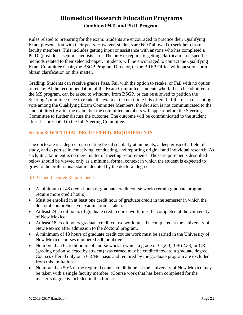Rules related to preparing for the exam: Students are encouraged to practice their Qualifying Exam presentation with their peers. However, students are NOT allowed to seek help from faculty members. This includes getting input or assistance with anyone who has completed a Ph.D. (post-docs, senior scientists. etc). The only exception is getting clarification on specific methods related to their selected paper. Students will be encouraged to contact the Qualifying Exam Committee Chair, the BSGP Program Director, or the BREP Office with questions or to obtain clarification on this matter.

Grading: Students can receive grades Pass, Fail with the option to retake, or Fail with no option to retake. At the recommendation of the Exam Committee, students who fail can be admitted to the MS program, can be asked to withdraw from BSGP, or can be allowed to petition the Steering Committee once to retake the exam at the next time it is offered. If there is a dissenting vote among the Qualifying Exam Committee Members, the decision is not communicated to the student directly after the exam, but the committee members will appear before the Steering Committee to further discuss the outcome. The outcome will be communicated to the student after it is presented to the full Steering Committee.

### <span id="page-24-0"></span>**Section 8: DOCTORAL DEGREE/PH.D. REQUIREMENTS**

The doctorate is a degree representing broad scholarly attainments, a deep grasp of a field of study, and expertise in conceiving, conducting, and reporting original and individual research. As such, its attainment is no mere matter of meeting requirements. Those requirements described below should be viewed only as a minimal formal context in which the student is expected to grow to the professional stature denoted by the doctoral degree.

### <span id="page-24-1"></span>8.1: General Degree Requirements

- A minimum of 48 credit hours of graduate credit course work (certain graduate programs require more credit hours).
- Must be enrolled in at least one credit hour of graduate credit in the semester in which the doctoral comprehensive examination is taken.
- At least 24 credit hours of graduate credit course work must be completed at the University of New Mexico.
- At least 18 credit hours graduate credit course work must be completed at the University of New Mexico after admission to the doctoral program.
- A minimum of 18 hours of graduate credit course work must be earned in the University of New Mexico courses numbered 500 or above.
- No more than 6 credit hours of course work in which a grade of C  $(2.0)$ , C+ $(2.33)$  or CR (grading option selected by student) was earned may be credited toward a graduate degree. Courses offered only on a CR/NC basis and required by the graduate program are excluded from this limitation.
- No more than 50% of the required course credit hours at the University of New Mexico may be taken with a single faculty member. (Course work that has been completed for the master's degree is included in this limit.)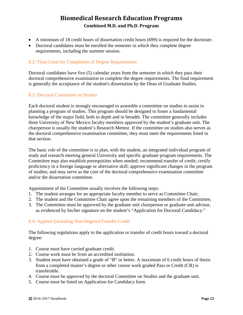- A minimum of 18 credit hours of dissertation credit hours (699) is required for the doctorate.
- Doctoral candidates must be enrolled the semester in which they complete degree requirements, including the summer session.

### <span id="page-25-0"></span>8.2: Time Limit for Completion of Degree Requirements

Doctoral candidates have five (5) calendar years from the semester in which they pass their doctoral comprehensive examination to complete the degree requirements. The final requirement is generally the acceptance of the student's dissertation by the Dean of Graduate Studies.

### <span id="page-25-1"></span>8.3: Doctoral Committee on Studies

Each doctoral student is strongly encouraged to assemble a committee on studies to assist in planning a program of studies. This program should be designed to foster a fundamental knowledge of the major field, both in depth and in breadth. The committee generally includes three University of New Mexico faculty members approved by the student's graduate unit. The chairperson is usually the student's Research Mentor. If the committee on studies also serves as the doctoral comprehensive examination committee, they must meet the requirements listed in that section.

The basic role of the committee is to plan, with the student, an integrated individual program of study and research meeting general University and specific graduate program requirements. The Committee may also establish prerequisites when needed; recommend transfer of credit; certify proficiency in a foreign language or alternative skill; approve significant changes in the program of studies; and may serve as the core of the doctoral comprehensive examination committee and/or the dissertation committee.

Appointment of the Committee usually involves the following steps:

- 1. The student arranges for an appropriate faculty member to serve as Committee Chair;
- 2. The student and the Committee Chair agree upon the remaining members of the Committee;
- 3. The Committee must be approved by the graduate unit chairperson or graduate unit advisor, as evidenced by his/her signature on the student's "Application for Doctoral Candidacy."

### <span id="page-25-2"></span>8.4: Applied (including Non-Degree)/Transfer Credit

The following regulations apply to the application or transfer of credit hours toward a doctoral degree:

- 1. Course must have carried graduate credit.
- 2. Course work must be from an accredited institution.
- 3. Student must have obtained a grade of "B" or better. A maximum of 6 credit hours of thesis from a completed master's degree or other course work graded Pass or Credit (CR) is transferable.
- 4. Course must be approved by the doctoral Committee on Studies and the graduate unit.
- 5. Course must be listed on Application for Candidacy form.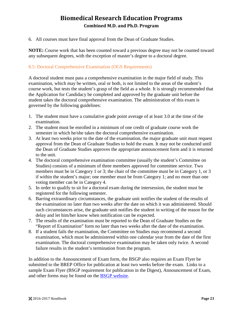6. All courses must have final approval from the Dean of Graduate Studies.

**NOTE:** Course work that has been counted toward a previous degree may not be counted toward any subsequent degrees, with the exception of master's degree to a doctoral degree.

### <span id="page-26-0"></span>8.5: Doctoral Comprehensive Examination (OGS Requirements)

A doctoral student must pass a comprehensive examination in the major field of study. This examination, which may be written, oral or both, is not limited to the areas of the student's course work, but tests the student's grasp of the field as a whole. It is strongly recommended that the Application for Candidacy be completed and approved by the graduate unit before the student takes the doctoral comprehensive examination. The administration of this exam is governed by the following guidelines:

- 1. The student must have a cumulative grade point average of at least 3.0 at the time of the examination.
- 2. The student must be enrolled in a minimum of one credit of graduate course work the semester in which he/she takes the doctoral comprehensive examination.
- 3. At least two weeks prior to the date of the examination, the major graduate unit must request approval from the Dean of Graduate Studies to hold the exam. It may not be conducted until the Dean of Graduate Studies approves the appropriate announcement form and it is returned to the unit.
- 4. The doctoral comprehensive examination committee (usually the student's Committee on Studies) consists of a minimum of three members approved for committee service. Two members must be in Category 1 or 3; the chair of the committee must be in Category 1, or 3 if within the student's major; one member must be from Category 1; and no more than one voting member can be in Category 4.
- 5. In order to qualify to sit for a doctoral exam during the intersession, the student must be registered for the following semester.
- 6. Barring extraordinary circumstances, the graduate unit notifies the student of the results of the examination no later than two weeks after the date on which it was administered. Should such circumstances arise, the graduate unit notifies the student in writing of the reason for the delay and let him/her know when notification can be expected.
- 7. The results of the examination must be reported to the Dean of Graduate Studies on the "Report of Examination" form no later than two weeks after the date of the examination.
- 8. If a student fails the examination, the Committee on Studies may recommend a second examination, which must be administered within one calendar year from the date of the first examination. The doctoral comprehensive examination may be taken only twice. A second failure results in the student's termination from the program.

In addition to the Announcement of Exam form, the BSGP also requires an Exam Flyer be submitted to the BREP Office for publication at least two weeks before the exam. Links to a sample Exam Flyer (BSGP requirement for publication in the Digest), Announcement of Exam, and other forms may be found on the [BSGP website.](http://hsc.unm.edu/research/brep/graduate/bsgp/index.html)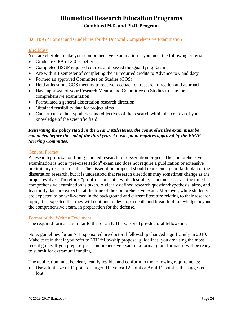### <span id="page-27-0"></span>8.6: BSGP Format and Guidelines for the Doctoral Comprehensive Examination

#### **Eligibility**

You are eligible to take your comprehensive examination if you meet the following criteria:

- Graduate GPA of 3.0 or better
- Completed BSGP required courses and passed the Qualifying Exam
- Are within 1 semester of completing the 48 required credits to Advance to Candidacy
- Formed an approved Committee on Studies (COS)
- Held at least one COS meeting to receive feedback on research direction and approach
- Have approval of your Research Mentor and Committee on Studies to take the comprehensive examination
- Formulated a general dissertation research direction
- Obtained feasibility data for project aims
- Can articulate the hypotheses and objectives of the research within the context of your knowledge of the scientific field.

### *Reiterating the policy stated in the Year 3 Milestones, the comprehensive exam must be completed before the end of the third year. An exception requires approval by the BSGP Steering Committee.*

#### General Format

A research proposal outlining planned research for dissertation project. The comprehensive examination is not a "pre-dissertation" exam and does not require a publication or extensive preliminary research results. The dissertation proposal should represent a good faith plan of the dissertation research, but it is understood that research directions may sometimes change as the project evolves. Therefore, "proof-of-concept", while desirable, is not necessary at the time the comprehensive examination is taken. A clearly defined research question/hypothesis, aims, and feasibility data are expected at the time of the comprehensive exam. Moreover, while students are expected to be well-versed in the background and current literature relating to their research topic, it is expected that they will continue to develop a depth and breadth of knowledge beyond the comprehensive exam, in preparation for the defense.

#### Format of the Written Document

The required format is similar to that of an NIH sponsored pre-doctoral fellowship.

Note: guidelines for an NIH sponsored pre-doctoral fellowship changed significantly in 2010. Make certain that if you refer to NIH fellowship proposal guidelines, you are using the most recent guide. If you prepare your comprehensive exam in a formal grant format, it will be ready to submit for extramural funding.

The application must be clear, readily legible, and conform to the following requirements:

• Use a font size of 11 point or larger; Helvetica 12 point or Arial 11 point is the suggested font.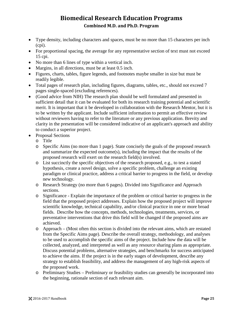- Type density, including characters and spaces, must be no more than 15 characters per inch (cpi).
- For proportional spacing, the average for any representative section of text must not exceed 15 cpi.
- No more than 6 lines of type within a vertical inch.
- Margins, in all directions, must be at least 0.5 inch.
- Figures, charts, tables, figure legends, and footnotes maybe smaller in size but must be readily legible.
- Total pages of research plan, including figures, diagrams, tables, etc., should not exceed 7 pages single-spaced (excluding references).
- (Good advice from NIH) The research plan should be well formulated and presented in sufficient detail that it can be evaluated for both its research training potential and scientific merit. It is important that it be developed in collaboration with the Research Mentor, but it is to be written by the applicant. Include sufficient information to permit an effective review without reviewers having to refer to the literature or any previous application. Brevity and clarity in the presentation will be considered indicative of an applicant's approach and ability to conduct a superior project.
- Proposal Sections
	- o Title
	- o Specific Aims (no more than 1 page). State concisely the goals of the proposed research and summarize the expected outcome(s), including the impact that the results of the proposed research will exert on the research field(s) involved.
	- o List succinctly the specific objectives of the research proposed, e.g., to test a stated hypothesis, create a novel design, solve a specific problem, challenge an existing paradigm or clinical practice, address a critical barrier to progress in the field, or develop new technology.
	- o Research Strategy (no more than 6 pages). Divided into Significance and Approach sections.
	- o Significance Explain the importance of the problem or critical barrier to progress in the field that the proposed project addresses. Explain how the proposed project will improve scientific knowledge, technical capability, and/or clinical practice in one or more broad fields. Describe how the concepts, methods, technologies, treatments, services, or preventative interventions that drive this field will be changed if the proposed aims are achieved.
	- o Approach (Most often this section is divided into the relevant aims, which are restated from the Specific Aims page). Describe the overall strategy, methodology, and analyses to be used to accomplish the specific aims of the project. Include how the data will be collected, analyzed, and interpreted as well as any resource sharing plans as appropriate. Discuss potential problems, alternative strategies, and benchmarks for success anticipated to achieve the aims. If the project is in the early stages of development, describe any strategy to establish feasibility, and address the management of any high-risk aspects of the proposed work.
	- o Preliminary Studies Preliminary or feasibility studies can generally be incorporated into the beginning, rationale section of each relevant aim.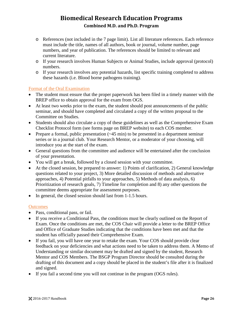- o References (not included in the 7 page limit). List all literature references. Each reference must include the title, names of all authors, book or journal, volume number, page numbers, and year of publication. The references should be limited to relevant and current literature.
- o If your research involves Human Subjects or Animal Studies, include approval (protocol) numbers.
- o If your research involves any potential hazards, list specific training completed to address these hazards (i.e. Blood borne pathogens training).

### Format of the Oral Examination

- The student must ensure that the proper paperwork has been filed in a timely manner with the BREP office to obtain approval for the exam from OGS.
- At least two weeks prior to the exam, the student should post announcements of the public seminar, and should have completed and circulated a copy of the written proposal to the Committee on Studies.
- Students should also circulate a copy of these guidelines as well as the Comprehensive Exam Checklist Protocol form (see forms page on BREP website) to each COS member.
- Prepare a formal, public presentation  $(-45 \text{ min})$  to be presented in a department seminar series or in a journal club. Your Research Mentor, or a moderator of your choosing, will introduce you at the start of the exam.
- General questions from the committee and audience will be entertained after the conclusion of your presentation.
- You will get a break, followed by a closed session with your committee.
- At the closed session, be prepared to answer: 1) Points of clarification, 2) General knowledge questions related to your project, 3) More detailed discussion of methods and alternative approaches, 4) Potential pitfalls to your approaches, 5) Methods of data analysis, 6) Prioritization of research goals, 7) Timeline for completion and 8) any other questions the committee deems appropriate for assessment purposes.
- In general, the closed session should last from 1-1.5 hours.

### **Outcomes**

- Pass, conditional pass, or fail.
- If you receive a Conditional Pass, the conditions must be clearly outlined on the Report of Exam. Once the conditions are met, the COS Chair will provide a letter to the BREP Office and Office of Graduate Studies indicating that the conditions have been met and that the student has officially passed their Comprehensive Exam.
- If you fail, you will have one year to retake the exam. Your COS should provide clear feedback on your deficiencies and what actions need to be taken to address them. A Memo of Understanding or similar document may be drafted and signed by the student, Research Mentor and COS Members. The BSGP Program Director should be consulted during the drafting of this document and a copy should be placed in the student's file after it is finalized and signed.
- If you fail a second time you will not continue in the program (OGS rules).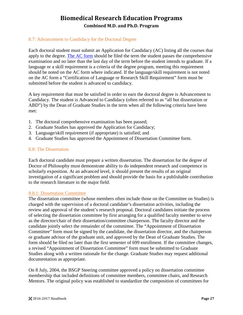### <span id="page-30-0"></span>8.7: Advancement to Candidacy for the Doctoral Degree

Each doctoral student must submit an Application for Candidacy (AC) listing all the courses that apply to the degree. [The AC form](http://grad.unm.edu/resources/gs-forms/index.html) should be filed the term the student passes the comprehensive examination and no later than the last day of the term before the student intends to graduate. If a language or a skill requirement is a criteria of the degree program, meeting this requirement should be noted on the AC form where indicated. If the language/skill requirement is not noted on the AC form a "Certification of Language or Research Skill Requirement" form must be submitted before the student is advanced to candidacy.

A key requirement that must be satisfied in order to earn the doctoral degree is Advancement to Candidacy. The student is Advanced to Candidacy (often referred to as "all but dissertation or ABD") by the Dean of Graduate Studies in the term when all the following criteria have been met:

- 1. The doctoral comprehensive examination has been passed;
- 2. Graduate Studies has approved the Application for Candidacy;
- 3. Language/skill requirement (if appropriate) is satisfied; and
- 4. Graduate Studies has approved the Appointment of Dissertation Committee form.

#### <span id="page-30-1"></span>8.8: The Dissertation

Each doctoral candidate must prepare a written dissertation. The dissertation for the degree of Doctor of Philosophy must demonstrate ability to do independent research and competence in scholarly exposition. At an advanced level, it should present the results of an original investigation of a significant problem and should provide the basis for a publishable contribution to the research literature in the major field.

#### <span id="page-30-2"></span>8.8.1: Dissertation Committee

The dissertation committee (whose members often include those on the Committee on Studies) is charged with the supervision of a doctoral candidate's dissertation activities, including the review and approval of the student's research proposal. Doctoral candidates initiate the process of selecting the dissertation committee by first arranging for a qualified faculty member to serve as the director/chair of their dissertation/committee chairperson. The faculty director and the candidate jointly select the remainder of the committee. The "Appointment of Dissertation Committee" form must be signed by the candidate, the dissertation director, and the chairperson or graduate advisor of the graduate unit, and approved by the Dean of Graduate Studies. The form should be filed no later than the first semester of 699 enrollment. If the committee changes, a revised "Appointment of Dissertation Committee" form must be submitted to Graduate Studies along with a written rationale for the change. Graduate Studies may request additional documentation as appropriate.

On 8 July, 2004, the BSGP Steering committee approved a policy on dissertation committee membership that included definitions of committee members, committee chairs, and Research Mentors. The original policy was established to standardize the composition of committees for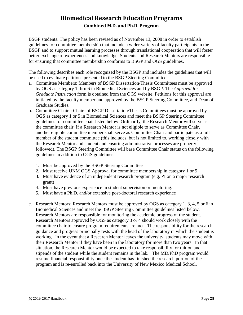BSGP students. The policy has been revised as of November 13, 2008 in order to establish guidelines for committee membership that include a wider variety of faculty participants in the BSGP and to support mutual learning processes through translational cooperation that will foster better exchange of experiences and knowledge. Students and Research Mentors are responsible for ensuring that committee membership conforms to BSGP and OGS guidelines.

The following describes each role recognized by the BSGP and includes the guidelines that will be used to evaluate petitions presented to the BSGP Steering Committee:

- a. Committee Members: Members of BSGP Dissertation/Thesis Committees must be approved by OGS as category 1 thru 6 in Biomedical Sciences and by BSGP. The *Approval for Graduate Instruction* form is obtained from the OGS website. Petitions for this approval are initiated by the faculty member and approved by the BSGP Steering Committee, and Dean of Graduate Studies.
- b. Committee Chairs: Chairs of BSGP Dissertation/Thesis Committees must be approved by OGS as category 1 or 5 in Biomedical Sciences and meet the BSGP Steering Committee guidelines for committee chair listed below. Ordinarily, the Research Mentor will serve as the committee chair. If a Research Mentor is not eligible to serve as Committee Chair, another eligible committee member shall serve as Committee Chair and participate as a full member of the student committee (this includes, but is not limited to, working closely with the Research Mentor and student and ensuring administrative processes are properly followed). The BSGP Steering Committee will base Committee Chair status on the following guidelines in addition to OGS guidelines:
	- 1. Must be approved by the BSGP Steering Committee
	- 2. Must receive UNM OGS Approval for committee membership in category 1 or 5
	- 3. Must have evidence of an independent research program (e.g. PI on a major research grant)
	- 4. Must have previous experience in student supervision or mentoring.
	- 5. Must have a Ph.D. and/or extensive post-doctoral research experience
- c. Research Mentors: Research Mentors must be approved by OGS as category 1, 3, 4, 5 or 6 in Biomedical Sciences and meet the BSGP Steering Committee guidelines listed below. Research Mentors are responsible for monitoring the academic progress of the student. Research Mentors approved by OGS as category 3 or 4 should work closely with the committee chair to ensure program requirements are met. The responsibility for the research guidance and progress principally rests with the head of the laboratory in which the student is working. In the event that a Research Mentor leaves the university, students may move with their Research Mentor if they have been in the laboratory for more than two years. In that situation, the Research Mentor would be expected to take responsibility for tuition and stipends of the student while the student remains in the lab. The MD/PhD program would resume financial responsibility once the student has finished the research portion of the program and is re-enrolled back into the University of New Mexico Medical School.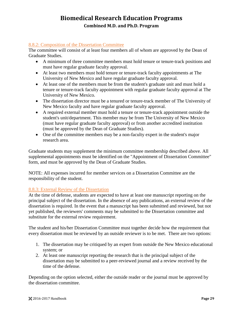### <span id="page-32-0"></span>8.8.2: Composition of the Dissertation Committee

The committee will consist of at least four members all of whom are approved by the Dean of Graduate Studies.

- A minimum of three committee members must hold tenure or tenure-track positions and must have regular graduate faculty approval.
- At least two members must hold tenure or tenure-track faculty appointments at The University of New Mexico and have regular graduate faculty approval.
- At least one of the members must be from the student's graduate unit and must hold a tenure or tenure-track faculty appointment with regular graduate faculty approval at The University of New Mexico.
- The dissertation director must be a tenured or tenure-track member of The University of New Mexico faculty and have regular graduate faculty approval.
- A required external member must hold a tenure or tenure-track appointment outside the student's unit/department. This member may be from The University of New Mexico (must have regular graduate faculty approval) or from another accredited institution (must be approved by the Dean of Graduate Studies).
- One of the committee members may be a non-faculty expert in the student's major research area.

Graduate students may supplement the minimum committee membership described above. All supplemental appointments must be identified on the "Appointment of Dissertation Committee" form, and must be approved by the Dean of Graduate Studies.

NOTE: All expenses incurred for member services on a Dissertation Committee are the responsibility of the student.

### <span id="page-32-1"></span>8.8.3: External Review of the Dissertation

At the time of defense, students are expected to have at least one manuscript reporting on the principal subject of the dissertation. In the absence of any publications, an external review of the dissertation is required. In the event that a manuscript has been submitted and reviewed, but not yet published, the reviewers' comments may be submitted to the Dissertation committee and substitute for the external review requirement.

The student and his/her Dissertation Committee must together decide how the requirement that every dissertation must be reviewed by an outside reviewer is to be met. There are two options:

- 1. The dissertation may be critiqued by an expert from outside the New Mexico educational system; or
- 2. At least one manuscript reporting the research that is the principal subject of the dissertation may be submitted to a peer-reviewed journal and a review received by the time of the defense.

Depending on the option selected, either the outside reader or the journal must be approved by the dissertation committee.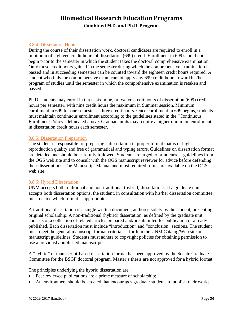### <span id="page-33-0"></span>8.8.4: Dissertation Hours

During the course of their dissertation work, doctoral candidates are required to enroll in a minimum of eighteen credit hours of dissertation (699) credit. Enrollment in 699 should not begin prior to the semester in which the student takes the doctoral comprehensive examination. Only those credit hours gained in the semester during which the comprehensive examination is passed and in succeeding semesters can be counted toward the eighteen credit hours required. A student who fails the comprehensive exam cannot apply any 699 credit hours toward his/her program of studies until the semester in which the comprehensive examination is retaken and passed.

Ph.D. students may enroll in three, six, nine, or twelve credit hours of dissertation (699) credit hours per semester, with nine credit hours the maximum in Summer session. Minimum enrollment in 699 for one semester is three credit hours. Once enrollment in 699 begins, students must maintain continuous enrollment according to the guidelines stated in the "Continuous Enrollment Policy" delineated above. Graduate units may require a higher minimum enrollment in dissertation credit hours each semester.

#### <span id="page-33-1"></span>8.8.5: Dissertation Preparation

The student is responsible for preparing a dissertation in proper format that is of high reproduction quality and free of grammatical and typing errors. Guidelines on dissertation format are detailed and should be carefully followed. Students are urged to print current guidelines from the OGS web site and to consult with the OGS manuscript reviewer for advice before defending their dissertations. The Manuscript Manual and most required forms are available on the OGS web site.

#### <span id="page-33-2"></span>8.8.6: Hybrid Dissertation

UNM accepts both traditional and non-traditional (hybrid) dissertations. If a graduate unit accepts both dissertation options, the student, in consultation with his/her dissertation committee, must decide which format is appropriate.

A traditional dissertation is a single written document, authored solely by the student, presenting original scholarship. A non-traditional (hybrid) dissertation, as defined by the graduate unit, consists of a collection of related articles prepared and/or submitted for publication or already published. Each dissertation must include "introduction" and "conclusion" sections. The student must meet the general manuscript format criteria set forth in the UNM Catalog/Web site on manuscript guidelines. Students must adhere to copyright policies for obtaining permission to use a previously published manuscript.

A "hybrid" or manuscript-based dissertation format has been approved by the Senate Graduate Committee for the BSGP doctoral program. Master's thesis are not approved for a hybrid format.

The principles underlying the hybrid dissertation are:

- Peer reviewed publications are a prime measure of scholarship;
- An environment should be created that encourages graduate students to publish their work;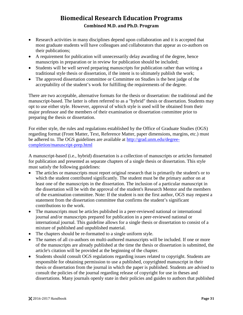- Research activities in many disciplines depend upon collaboration and it is accepted that most graduate students will have colleagues and collaborators that appear as co-authors on their publications;
- A requirement for publication will unnecessarily delay awarding of the degree, hence manuscripts in preparation or in review for publication should be included;
- Students will be well served preparing manuscripts for publication rather than writing a traditional style thesis or dissertation, if the intent is to ultimately publish the work;
- The approved dissertation committee or Committee on Studies is the best judge of the acceptability of the student's work for fulfilling the requirements of the degree.

There are two acceptable, alternative formats for the thesis or dissertation: the traditional and the manuscript-based. The latter is often referred to as a "hybrid" thesis or dissertation. Students may opt to use either style. However, approval of which style is used will be obtained from their major professor and the members of their examination or dissertation committee prior to preparing the thesis or dissertation.

For either style, the rules and regulations established by the Office of Graduate Studies (OGS) regarding format (Front Matter, Text, Reference Matter, paper dimensions, margins, etc.) must be adhered to. The OGS guidelines are available at [http://grad.unm.edu/degree](http://grad.unm.edu/degree-completion/manuscript-prep.html)[completion/manuscript-prep.html](http://grad.unm.edu/degree-completion/manuscript-prep.html)

A manuscript-based (i.e., hybrid) dissertation is a collection of manuscripts or articles formatted for publication and presented as separate chapters of a single thesis or dissertation. This style must satisfy the following guidelines:

- The articles or manuscripts must report original research that is primarily the student's or to which the student contributed significantly. The student must be the primary author on at least one of the manuscripts in the dissertation. The inclusion of a particular manuscript in the dissertation will be with the approval of the student's Research Mentor and the members of the examination committee. Note: If the student is not the first author, OGS may request a statement from the dissertation committee that confirms the student's significant contributions to the work.
- The manuscripts must be articles published in a peer-reviewed national or international journal and/or manuscripts prepared for publication in a peer-reviewed national or international journal. This guideline allows for a single thesis or dissertation to consist of a mixture of published and unpublished material.
- The chapters should be re-formatted to a single uniform style.
- The names of all co-authors on multi-authored manuscripts will be included. If one or more of the manuscripts are already published at the time the thesis or dissertation is submitted, the article's citation will be provided at the beginning of the chapter.
- Students should consult OGS regulations regarding issues related to copyright. Students are responsible for obtaining permission to use a published, copyrighted manuscript in their thesis or dissertation from the journal in which the paper is published. Students are advised to consult the policies of the journal regarding release of copyright for use in theses and dissertations. Many journals openly state in their policies and guides to authors that published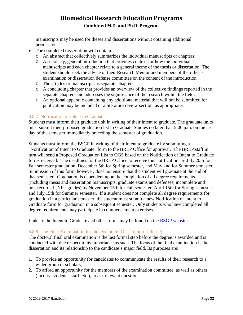manuscripts may be used for theses and dissertations without obtaining additional permission.

- The completed dissertation will contain:
	- o An abstract that collectively summarizes the individual manuscripts or chapters;
	- o A scholarly, general introduction that provides context for how the individual manuscripts and each chapter relate to a general theme of the thesis or dissertation. The student should seek the advice of their Research Mentor and members of their thesis examination or dissertation defense committee on the content of the introduction.
	- o The articles or manuscripts as separate chapters;
	- o A concluding chapter that provides an overview of the collective findings reported in the separate chapters and addresses the significance of the research within the field;
	- o An optional appendix containing any additional material that will not be submitted for publication may be included or a literature review section, as appropriate.

#### <span id="page-35-0"></span>8.8.7: Notification of Intent to Graduate

Students must inform their graduate unit in writing of their intent to graduate. The graduate units must submit their proposed graduation list to Graduate Studies no later than 5:00 p.m. on the last day of the semester immediately preceding the semester of graduation.

Students must inform the BSGP in writing of their intent to graduate by submitting a "Notification of Intent to Graduate" form to the BREP Office for approval. The BREP staff in turn will send a Proposed Graduation List to OGS based on the Notification of Intent to Graduate forms received. The deadlines for the BREP Office to receive this notification are July 20th for Fall semester graduation, December 5th for Spring semester, and May 2nd for Summer semester. Submission of this form, however, does not ensure that the student will graduate at the end of that semester. Graduation is dependent upon the completion of all degree requirements (including thesis and dissertation manuscripts, graduate exams and defenses, incomplete and non-recorded {NR} grades) by November 15th for Fall semester, April 15th for Spring semester, and July 15th for Summer semester. If a student does not complete all degree requirements for graduation in a particular semester, the student must submit a new Notification of Intent to Graduate form for graduation in a subsequent semester. Only students who have completed all degree requirements may participate in commencement exercises.

Links to the Intent to Graduate and other forms may be found on the [BSGP website.](http://hsc.unm.edu/research/brep/graduate/bsgp/index.html)

#### <span id="page-35-1"></span>8.8.8: The Final Examination for the Doctorate (Dissertation Defense)

The doctoral final oral examination is the last formal step before the degree is awarded and is conducted with due respect to its importance as such. The focus of the final examination is the dissertation and its relationship to the candidate's major field. Its purposes are:

- 1. To provide an opportunity for candidates to communicate the results of their research to a wider group of scholars;
- 2. To afford an opportunity for the members of the examination committee, as well as others (faculty, students, staff, etc.), to ask relevant questions;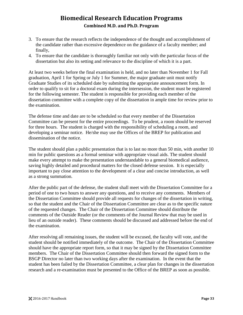- 3. To ensure that the research reflects the independence of the thought and accomplishment of the candidate rather than excessive dependence on the guidance of a faculty member; and finally,
- 4. To ensure that the candidate is thoroughly familiar not only with the particular focus of the dissertation but also its setting and relevance to the discipline of which it is a part.

At least two weeks before the final examination is held, and no later than November 1 for Fall graduation, April 1 for Spring or July 1 for Summer, the major graduate unit must notify Graduate Studies of its scheduled date by submitting the appropriate announcement form. In order to qualify to sit for a doctoral exam during the intersession, the student must be registered for the following semester. The student is responsible for providing each member of the dissertation committee with a complete copy of the dissertation in ample time for review prior to the examination.

The defense time and date are to be scheduled so that every member of the Dissertation Committee can be present for the entire proceedings. To be prudent, a room should be reserved for three hours. The student is charged with the responsibility of scheduling a room, and developing a seminar notice. He/she may use the Offices of the BREP for publication and dissemination of the notice.

The student should plan a public presentation that is to last no more than 50 min, with another 10 min for public questions as a formal seminar with appropriate visual aids. The student should make every attempt to make the presentation understandable to a general biomedical audience, saving highly detailed and procedural matters for the closed defense session. It is especially important to pay close attention to the development of a clear and concise introduction, as well as a strong summation.

After the public part of the defense, the student shall meet with the Dissertation Committee for a period of one to two hours to answer any questions, and to receive any comments. Members of the Dissertation Committee should provide all requests for changes of the dissertation in writing, so that the student and the Chair of the Dissertation Committee are clear as to the specific nature of the requested changes. The Chair of the Dissertation Committee should distribute the comments of the Outside Reader (or the comments of the Journal Review that may be used in lieu of an outside reader). These comments should be discussed and addressed before the end of the examination.

After resolving all remaining issues, the student will be excused, the faculty will vote, and the student should be notified immediately of the outcome. The Chair of the Dissertation Committee should have the appropriate report form, so that it may be signed by the Dissertation Committee members. The Chair of the Dissertation Committee should then forward the signed form to the BSGP Director no later than two working days after the examination. In the event that the student has been failed by the Dissertation Committee, a clear plan for changes in the dissertation research and a re-examination must be presented to the Office of the BREP as soon as possible.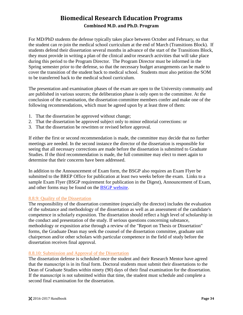For MD/PhD students the defense typically takes place between October and February, so that the student can re-join the medical school curriculum at the end of March (Transitions Block). If students defend their dissertation several months in advance of the start of the Transitions Block, they must provide in writing a plan of the clinical and/or research activities that will take place during this period to the Program Director. The Program Director must be informed in the Spring semester prior to the defense, so that the necessary budget arrangements can be made to cover the transition of the student back to medical school. Students must also petition the SOM to be transferred back to the medical school curriculum.

The presentation and examination phases of the exam are open to the University community and are published in various sources; the deliberation phase is only open to the committee. At the conclusion of the examination, the dissertation committee members confer and make one of the following recommendations, which must be agreed upon by at least three of them:

- 1. That the dissertation be approved without change;
- 2. That the dissertation be approved subject only to minor editorial corrections: or
- 3. That the dissertation be rewritten or revised before approval.

If either the first or second recommendation is made, the committee may decide that no further meetings are needed. In the second instance the director of the dissertation is responsible for seeing that all necessary corrections are made before the dissertation is submitted to Graduate Studies. If the third recommendation is made, the full committee may elect to meet again to determine that their concerns have been addressed.

In addition to the Announcement of Exam form, the BSGP also requires an Exam Flyer be submitted to the BREP Office for publication at least two weeks before the exam. Links to a sample Exam Flyer (BSGP requirement for publication in the Digest), Announcement of Exam, and other forms may be found on the [BSGP website.](http://hsc.unm.edu/research/brep/graduate/bsgp/index.html)

### <span id="page-37-0"></span>8.8.9: Quality of the Dissertation

The responsibility of the dissertation committee (especially the director) includes the evaluation of the substance and methodology of the dissertation as well as an assessment of the candidate's competence in scholarly exposition. The dissertation should reflect a high level of scholarship in the conduct and presentation of the study. If serious questions concerning substance, methodology or exposition arise through a review of the "Report on Thesis or Dissertation" forms, the Graduate Dean may seek the counsel of the dissertation committee, graduate unit chairperson and/or other scholars with particular competence in the field of study before the dissertation receives final approval.

#### <span id="page-37-1"></span>8.8.10: Submission and Approval of the Dissertation

The dissertation defense is scheduled once the student and their Research Mentor have agreed that the manuscript is in its final form. Doctoral students must submit their dissertations to the Dean of Graduate Studies within ninety (90) days of their final examination for the dissertation. If the manuscript is not submitted within that time, the student must schedule and complete a second final examination for the dissertation.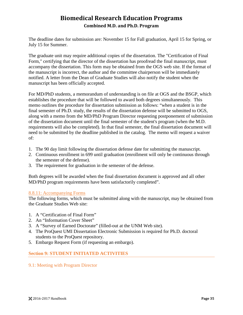The deadline dates for submission are: November 15 for Fall graduation, April 15 for Spring, or July 15 for Summer.

The graduate unit may require additional copies of the dissertation. The "Certification of Final Form," certifying that the director of the dissertation has proofread the final manuscript, must accompany the dissertation. This form may be obtained from the OGS web site. If the format of the manuscript is incorrect, the author and the committee chairperson will be immediately notified. A letter from the Dean of Graduate Studies will also notify the student when the manuscript has been officially accepted.

For MD/PhD students, a memorandum of understanding is on file at OGS and the BSGP, which establishes the procedure that will be followed to award both degrees simultaneously. This memo outlines the procedure for dissertation submission as follows: "when a student is in the final semester of Ph.D. study, the results of the dissertation defense will be submitted to OGS, along with a memo from the MD/PhD Program Director requesting postponement of submission of the dissertation document until the final semester of the student's program (when the M.D. requirements will also be completed). In that final semester, the final dissertation document will need to be submitted by the deadline published in the catalog. The memo will request a waiver of:

- 1. The 90 day limit following the dissertation defense date for submitting the manuscript.
- 2. Continuous enrollment in 699 until graduation (enrollment will only be continuous through the semester of the defense).
- 3. The requirement for graduation in the semester of the defense.

Both degrees will be awarded when the final dissertation document is approved and all other MD/PhD program requirements have been satisfactorily completed".

### <span id="page-38-0"></span>8.8.11: Accompanying Forms

The following forms, which must be submitted along with the manuscript, may be obtained from the Graduate Studies Web site:

- 1. A "Certification of Final Form"
- 2. An "Information Cover Sheet"
- 3. A "Survey of Earned Doctorate" (filled-out at the UNM Web site).
- 4. The ProQuest UMI Dissertation Electronic Submission is required for Ph.D. doctoral students to the ProQuest repository.
- 5. Embargo Request Form (if requesting an embargo).

### <span id="page-38-1"></span>**Section 9: STUDENT INITIATED ACTIVITIES**

#### <span id="page-38-2"></span>9.1: Meeting with Program Director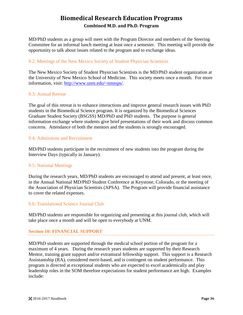MD/PhD students as a group will meet with the Program Director and members of the Steering Committee for an informal lunch meeting at least once a semester. This meeting will provide the opportunity to talk about issues related to the program and to exchange ideas.

### <span id="page-39-0"></span>9.2: Meetings of the New Mexico Society of Student Physician Scientists

The New Mexico Society of Student Physician Scientists is the MD/PhD student organization at the University of New Mexico School of Medicine. This society meets once a month. For more information, visit: [http://www.unm.edu/~nmssps/.](http://www.unm.edu/%7Enmssps/)

### <span id="page-39-1"></span>9.3: Annual Retreat

The goal of this retreat is to enhance interactions and improve general research issues with PhD students in the Biomedical Science program. It is organized by the Biomedical Sciences Graduate Student Society (BSGSS) MD/PhD and PhD students. The purpose is general information exchange where students give brief presentations of their work and discuss common concerns. Attendance of both the mentors and the students is strongly encouraged.

### <span id="page-39-2"></span>9.4: Admissions and Recruitment

MD/PhD students participate in the recruitment of new students into the program during the Interview Days (typically in January).

### <span id="page-39-3"></span>9.5: National Meetings

During the research years, MD/PhD students are encouraged to attend and present, at least once, in the Annual National MD/PhD Student Conference at Keystone, Colorado, or the meeting of the Association of Physician Scientists (APSA). The Program will provide financial assistance to cover the related expenses.

#### <span id="page-39-4"></span>9.6: Translational Science Journal Club

MD/PhD students are responsible for organizing and presenting at this journal club, which will take place once a month and will be open to everybody at UNM.

### <span id="page-39-5"></span>**Section 10: FINANCIAL SUPPORT**

MD/PhD students are supported through the medical school portion of the program for a maximum of 4 years. During the research years students are supported by their Research Mentor, training grant support and/or extramural fellowship support. This support is a Research Assistantship (RA), considered merit-based, and is contingent on student performance. This program is directed at exceptional students who are expected to excel academically and play leadership roles in the SOM therefore expectations for student performance are high. Examples include: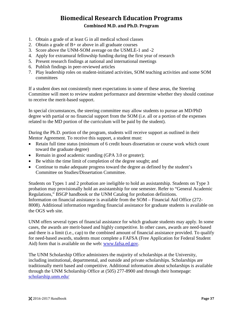- 1. Obtain a grade of at least G in all medical school classes
- 2. Obtain a grade of B+ or above in all graduate courses
- 3. Score above the UNM-SOM average on the USMLE-1 and -2
- 4. Apply for extramural fellowship funding during the first year of research
- 5. Present research findings at national and international meetings
- 6. Publish findings in peer-reviewed articles
- 7. Play leadership roles on student-initiated activities, SOM teaching activities and some SOM committees

If a student does not consistently meet expectations in some of these areas, the Steering Committee will meet to review student performance and determine whether they should continue to receive the merit-based support.

In special circumstances, the steering committee may allow students to pursue an MD/PhD degree with partial or no financial support from the SOM (i.e. all or a portion of the expenses related to the MD portion of the curriculum will be paid by the student).

During the Ph.D. portion of the program, students will receive support as outlined in their Mentor Agreement. To receive this support, a student must:

- Retain full time status (minimum of 6 credit hours dissertation or course work which count toward the graduate degree)
- Remain in good academic standing (GPA 3.0 or greater);
- Be within the time limit of completion of the degree sought; and
- Continue to make adequate progress toward the degree as defined by the student's Committee on Studies/Dissertation Committee.

Students on Types 1 and 2 probation are ineligible to hold an assistantship. Students on Type 3 probation may provisionally hold an assistantship for one semester. Refer to "General Academic Regulations," BSGP handbook or the UNM Catalog for probation definitions. Information on financial assistance is available from the SOM – Financial Aid Office (272- 8008). Additional information regarding financial assistance for graduate students is available on the OGS web site.

UNM offers several types of financial assistance for which graduate students may apply. In some cases, the awards are merit-based and highly competitive. In other cases, awards are need-based and there is a limit (i.e., cap) to the combined amount of financial assistance provided. To qualify for need-based awards, students must complete a FAFSA (Free Application for Federal Student Aid) form that is available on the web: [www.fafsa.ed.gov.](http://www.fafsa.ed.gov/)

The UNM Scholarship Office administers the majority of scholarships at the University, including institutional, departmental, and outside and private scholarships. Scholarships are traditionally merit based and competitive. Additional information about scholarships is available through the UNM Scholarship Office at (505) 277-8900 and through their homepage: [scholarship.unm.edu/](http://scholarship.unm.edu/)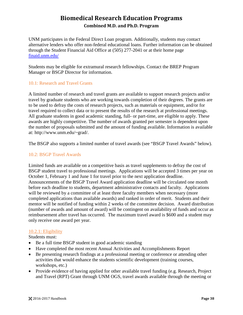UNM participates in the Federal Direct Loan program. Additionally, students may contact alternative lenders who offer non-federal educational loans. Further information can be obtained through the Student Financial Aid Office at (505) 277-2041 or at their home page [finaid.unm.edu/](http://finaid.unm.edu/)

Students may be eligible for extramural research fellowships. Contact the BREP Program Manager or BSGP Director for information.

### <span id="page-41-0"></span>10.1: Research and Travel Grants

A limited number of research and travel grants are available to support research projects and/or travel by graduate students who are working towards completion of their degrees. The grants are to be used to defray the costs of research projects, such as materials or equipment, and/or for travel required to collect data or to present the results of the research at professional meetings. All graduate students in good academic standing, full- or part-time, are eligible to apply. These awards are highly competitive. The number of awards granted per semester is dependent upon the number of proposals submitted and the amount of funding available. Information is available at: http://www.unm.edu/~grad/.

The BSGP also supports a limited number of travel awards (see "BSGP Travel Awards" below).

### <span id="page-41-1"></span>10.2: BSGP Travel Awards

Limited funds are available on a competitive basis as travel supplements to defray the cost of BSGP student travel to professional meetings. Applications will be accepted 3 times per year on October 1, February 1 and June 1 for travel prior to the next application deadline. Announcements of the BSGP Travel Award application deadline will be circulated one month before each deadline to students, department administrative contacts and faculty. Applications will be reviewed by a committee of at least three faculty members when necessary (more completed applications than available awards) and ranked in order of merit. Students and their mentor will be notified of funding within 2 weeks of the committee decision. Award distribution (number of awards and amount of award) will be contingent on availability of funds and occur as reimbursement after travel has occurred. The maximum travel award is \$600 and a student may only receive one award per year.

### <span id="page-41-2"></span>10.2.1: Eligibility

Students must:

- Be a full time BSGP student in good academic standing
- Have completed the most recent Annual Activities and Accomplishments Report
- Be presenting research findings at a professional meeting or conference or attending other activities that would enhance the students scientific development (training courses, workshops, etc.)
- Provide evidence of having applied for other available travel funding (e.g. Research, Project and Travel (RPT) Grant through UNM OGS, travel awards available through the meeting or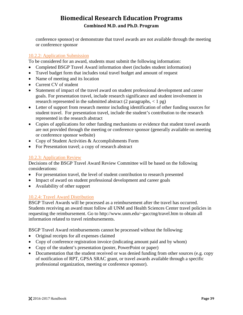conference sponsor) or demonstrate that travel awards are not available through the meeting or conference sponsor

### <span id="page-42-0"></span>10.2.2: Application Submission

To be considered for an award, students must submit the following information:

- Completed BSGP Travel Award information sheet (includes student information)
- Travel budget form that includes total travel budget and amount of request
- Name of meeting and its location
- Current CV of student
- Statement of impact of the travel award on student professional development and career goals. For presentation travel, include research significance and student involvement in research represented in the submitted abstract (2 paragraphs,  $\langle 1 \text{ pg} \rangle$ )
- Letter of support from research mentor including identification of other funding sources for student travel. For presentation travel, include the student's contribution to the research represented in the research abstract
- Copies of applications for other funding mechanisms or evidence that student travel awards are not provided through the meeting or conference sponsor (generally available on meeting or conference sponsor website)
- Copy of Student Activities & Accomplishments Form
- For Presentation travel; a copy of research abstract

#### <span id="page-42-1"></span>10.2.3: Application Review

Decisions of the BSGP Travel Award Review Committee will be based on the following considerations:

- For presentation travel, the level of student contribution to research presented
- Impact of award on student professional development and career goals
- Availability of other support

### <span id="page-42-2"></span>10.2.4: Travel Award Distribution

BSGP Travel Awards will be processed as a reimbursement after the travel has occurred. Students receiving an award must follow all UNM and Health Sciences Center travel policies in requesting the reimbursement. Go to http://www.unm.edu/~gacctng/travel.htm to obtain all information related to travel reimbursements.

BSGP Travel Award reimbursements cannot be processed without the following:

- Original receipts for all expenses claimed
- Copy of conference registration invoice (indicating amount paid and by whom)
- Copy of the student's presentation (poster, PowerPoint or paper)
- Documentation that the student received or was denied funding from other sources (e.g. copy of notification of RPT, GPSA SRAC grant, or travel awards available through a specific professional organization, meeting or conference sponsor).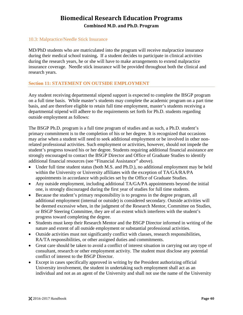### <span id="page-43-0"></span>10.3: Malpractice/Needle Stick Insurance

MD/PhD students who are matriculated into the program will receive malpractice insurance during their medical school training**.** If a student decides to participate in clinical activities during the research years, he or she will have to make arrangements to extend malpractice insurance coverage. Needle stick insurance will be provided throughout both the clinical and research years.

### <span id="page-43-1"></span>**Section 11: STATEMENT ON OUTSIDE EMPLOYMENT**

Any student receiving departmental stipend support is expected to complete the BSGP program on a full time basis. While master's students may complete the academic program on a part time basis, and are therefore eligible to retain full time employment, master's students receiving a departmental stipend will adhere to the requirements set forth for Ph.D. students regarding outside employment as follows:

The BSGP Ph.D. program is a full time program of studies and as such, a Ph.D. student's primary commitment is to the completion of his or her degree. It is recognized that occasions may arise when a student will need to seek additional employment or be involved in other nonrelated professional activities. Such employment or activities, however, should not impede the student's progress toward his or her degree. Students requiring additional financial assistance are strongly encouraged to contact the BSGP Director and Office of Graduate Studies to identify additional financial resources (see "Financial Assistance" above).

- Under full time student status (both M.S. and Ph.D.), no additional employment may be held within the University or University affiliates with the exception of TA/GA/RA/PA appointments in accordance with policies set by the Office of Graduate Studies.
- Any outside employment, including additional TA/GA/PA appointments beyond the initial one, is strongly discouraged during the first year of studies for full time students.
- Because the student's primary responsibility is to progress in the degree program, all additional employment (internal or outside) is considered secondary. Outside activities will be deemed excessive when, in the judgment of the Research Mentor, Committee on Studies, or BSGP Steering Committee, they are of an extent which interferes with the student's progress toward completing the degree.
- Students must keep their Research Mentor and the BSGP Director informed in writing of the nature and extent of all outside employment or substantial professional activities.
- Outside activities must not significantly conflict with classes, research responsibilities, RA/TA responsibilities, or other assigned duties and commitments.
- Great care should be taken to avoid a conflict of interest situation in carrying out any type of consultant, research or other employment activity. The student must disclose any potential conflict of interest to the BSGP Director.
- Except in cases specifically approved in writing by the President authorizing official University involvement, the student in undertaking such employment shall act as an individual and not as an agent of the University and shall not use the name of the University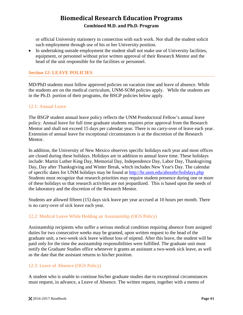or official University stationery in connection with such work. Nor shall the student solicit such employment through use of his or her University position.

• In undertaking outside employment the student shall not make use of University facilities, equipment, or personnel without prior written approval of their Research Mentor and the head of the unit responsible for the facilities or personnel.

### <span id="page-44-0"></span>**Section 12: LEAVE POLICIES**

MD/PhD students must follow approved policies on vacation time and leave of absence. While the students are on the medical curriculum, UNM-SOM policies apply. While the students are in the Ph.D. portion of their programs, the BSGP policies below apply.

#### <span id="page-44-1"></span>12.1: Annual Leave

The BSGP student annual leave policy reflects the UNM Postdoctoral Fellow's annual leave policy. Annual leave for full time graduate students requires prior approval from the Research Mentor and shall not exceed 15 days per calendar year. There is no carry-over of leave each year. Extension of annual leave for exceptional circumstances is at the discretion of the Research Mentor.

In addition, the University of New Mexico observes specific holidays each year and most offices are closed during these holidays. Holidays are in addition to annual leave time. These holidays include: Martin Luther King Day, Memorial Day, Independence Day, Labor Day, Thanksgiving Day, Day after Thanksgiving and Winter Break, which includes New Year's Day. The calendar of specific dates for UNM holidays may be found at<http://hr.unm.edu/abouthr/holidays.php> Students must recognize that research priorities may require student presence during one or more of these holidays so that research activities are not jeopardized. This is based upon the needs of the laboratory and the discretion of the Research Mentor.

Students are allowed fifteen (15) days sick leave per year accrued at 10 hours per month. There is no carry-over of sick leave each year.

### <span id="page-44-2"></span>12.2: Medical Leave While Holding an Assistantship (OGS Policy)

Assistantship recipients who suffer a serious medical condition requiring absence from assigned duties for two consecutive weeks may be granted, upon written request to the head of the graduate unit, a two-week sick leave without loss of stipend. After this leave, the student will be paid only for the time the assistantship responsibilities were fulfilled. The graduate unit must notify the Graduate Studies office whenever it grants an assistant a two-week sick leave, as well as the date that the assistant returns to his/her position.

### <span id="page-44-3"></span>12.3: Leave of Absence (OGS Policy)

A student who is unable to continue his/her graduate studies due to exceptional circumstances must request, in advance, a Leave of Absence. The written request, together with a memo of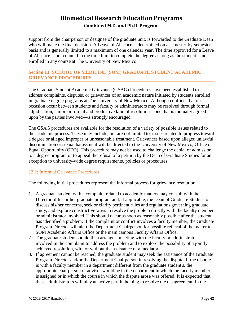support from the chairperson or designee of the graduate unit, is forwarded to the Graduate Dean who will make the final decision. A Leave of Absence is determined on a semester-by-semester basis and is generally limited to a maximum of one calendar year. The time approved for a Leave of Absence is not counted in the time limit to complete the degree as long as the student is not enrolled in any course at The University of New Mexico.

### <span id="page-45-0"></span>**Section 13: SCHOOL OF MEDICINE (SOM) GRADUATE STUDENT ACADEMIC GRIEVANCE PROCEDURES**

The Graduate Student Academic Grievance (GSAG) Procedures have been established to address complaints, disputes, or grievances of an academic nature initiated by students enrolled in graduate degree programs at The University of New Mexico. Although conflicts that on occasion occur between students and faculty or administrators may be resolved through formal adjudication, a more informal and productive kind of resolution—one that is mutually agreed upon by the parties involved—is strongly encouraged.

The GSAG procedures are available for the resolution of a variety of possible issues related to the academic process. These may include, but are not limited to, issues related to progress toward a degree or alleged improper or unreasonable treatment. Grievances based upon alleged unlawful discrimination or sexual harassment will be directed to the University of New Mexico, Office of Equal Opportunity (OEO). This procedure may not be used to challenge the denial of admission to a degree program or to appeal the refusal of a petition by the Dean of Graduate Studies for an exception to university-wide degree requirements, policies or procedures.

### <span id="page-45-1"></span>13.1: Informal Grievance Procedures

The following initial procedures represent the informal process for grievance resolution.

- 1. A graduate student with a complaint related to academic matters may consult with the Director of his or her graduate program and, if applicable, the Dean of Graduate Studies to discuss his/her concerns, seek or clarify pertinent rules and regulations governing graduate study, and explore constructive ways to resolve the problem directly with the faculty member or administrator involved. This should occur as soon as reasonably possible after the student has identified a problem. If the complaint or conflict involves a faculty member, the Graduate Program Director will alert the Department Chairperson for possible referral of the matter to SOM Academic Affairs Office or the main campus Faculty Affairs Office.
- 2. The graduate student should then arrange a meeting with the faculty or administrator involved in the complaint to address the problem and to explore the possibility of a jointly achieved resolution, with or without the assistance of a mediator.
- 3. If agreement cannot be reached, the graduate student may seek the assistance of the Graduate Program Director and/or the Department Chairperson in resolving the dispute. If the dispute is with a faculty member in a department different from the graduate student's, the appropriate chairperson or advisor would be in the department in which the faculty member is assigned or in which the course in which the dispute arose was offered. It is expected that these administrators will play an active part in helping to resolve the disagreement. In the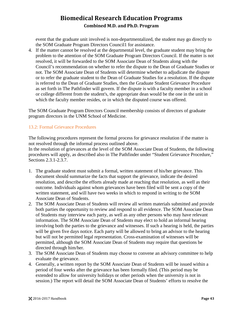event that the graduate unit involved is non-departmentalized, the student may go directly to the SOM Graduate Program Directors Council1 for assistance.

4. If the matter cannot be resolved at the departmental level, the graduate student may bring the problem to the attention of the SOM Graduate Program Directors Council. If the matter is not resolved, it will be forwarded to the SOM Associate Dean of Students along with the Council's recommendation on whether to refer the dispute to the Dean of Graduate Studies or not. The SOM Associate Dean of Students will determine whether to adjudicate the dispute or to refer the graduate student to the Dean of Graduate Studies for a resolution. If the dispute is referred to the Dean of Graduate Studies, then the Graduate Student Grievance Procedure as set forth in The Pathfinder will govern. If the dispute is with a faculty member in a school or college different from the student's, the appropriate dean would be the one in the unit in which the faculty member resides, or in which the disputed course was offered.

The SOM Graduate Program Directors Council membership consists of directors of graduate program directors in the UNM School of Medicine.

### <span id="page-46-0"></span>13.2: Formal Grievance Procedures

The following procedures represent the formal process for grievance resolution if the matter is not resolved through the informal process outlined above.

In the resolution of grievances at the level of the SOM Associate Dean of Students, the following procedures will apply, as described also in The Pathfinder under "Student Grievance Procedure," Sections 2.3.1-2.3.7.

- 1. The graduate student must submit a formal, written statement of his/her grievance. This document should summarize the facts that support the grievance, indicate the desired resolution, and describe the efforts already made at reaching that resolution, as well as their outcome. Individuals against whom grievances have been filed will be sent a copy of the written statement, and will have two weeks in which to respond in writing to the SOM Associate Dean of Students.
- 2. The SOM Associate Dean of Students will review all written materials submitted and provide both parties the opportunity to review and respond to all evidence. The SOM Associate Dean of Students may interview each party, as well as any other persons who may have relevant information. The SOM Associate Dean of Students may elect to hold an informal hearing involving both the parties to the grievance and witnesses. If such a hearing is held, the parties will be given five days notice. Each party will be allowed to bring an advisor to the hearing but will not be permitted legal representation. Cross-examination of witnesses will be permitted, although the SOM Associate Dean of Students may require that questions be directed through him/her.
- 3. The SOM Associate Dean of Students may choose to convene an advisory committee to help evaluate the grievance.
- 4. Generally, a written report by the SOM Associate Dean of Students will be issued within a period of four weeks after the grievance has been formally filed. (This period may be extended to allow for university holidays or other periods when the university is not in session.) The report will detail the SOM Associate Dean of Students' efforts to resolve the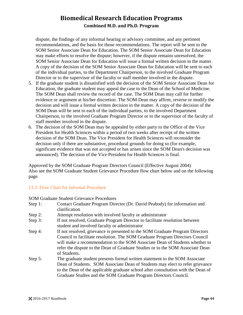dispute, the findings of any informal hearing or advisory committee, and any pertinent recommendations, and the basis for those recommendations. The report will be sent to the SOM Senior Associate Dean for Education. The SOM Senior Associate Dean for Education may make efforts to resolve the dispute; however, if the dispute remains unresolved, the SOM Senior Associate Dean for Education will issue a formal written decision in the matter. A copy of the decision of the SOM Senior Associate Dean for Education will be sent to each of the individual parties, to the Department Chairperson, to the involved Graduate Program Director or to the supervisor of the faculty or staff member involved in the dispute.

- 5. If the graduate student is dissatisfied with the decision of the SOM Senior Associate Dean for Education, the graduate student may appeal the case to the Dean of the School of Medicine. The SOM Dean shall review the record of the case. The SOM Dean may call for further evidence or argument at his/her discretion. The SOM Dean may affirm, reverse or modify the decision and will issue a formal written decision in the matter. A copy of the decision of the SOM Dean will be sent to each of the individual parties, to the involved Department Chairperson, to the involved Graduate Program Director or to the supervisor of the faculty of staff member involved in the dispute.
- 6. The decision of the SOM Dean may be appealed by either party to the Office of the Vice President for Health Sciences within a period of two weeks after receipt of the written decision of the SOM Dean. The Vice President for Health Sciences will reconsider the decision only if there are substantive, procedural grounds for doing so (for example, significant evidence that was not accepted or has arisen since the SOM Dean's decision was announced). The decision of the Vice President for Health Sciences is final.

Approved by the SOM Graduate Program Directors Council (Effective August 2004) Also see the SOM Graduate Student Grievance Procedure flow chart below and on the following page.

### <span id="page-47-0"></span>13.3: Flow Chart for Informal Procedure

SOM Graduate Student Grievance Procedures

- Step 1: Contact Graduate Program Director (Dr. David Peabody) for information and clarification
- Step 2: Attempt resolution with involved faculty or administrator
- Step 3: If not resolved, Graduate Program Director to facilitate resolution between student and involved faculty or administrator
- Step 4: If not resolved, grievance is presented to the SOM Graduate Program Directors Council to facilitate resolution. The SOM Graduate Program Directors Council will make a recommendation to the SOM Associate Dean of Students whether to refer the dispute to the Dean of Graduate Studies or to the SOM Associate Dean of Students.
- Step 5: The graduate student presents formal written statement to the SOM Associate Dean of Students. SOM Associate Dean of Students may elect to refer grievance to the Dean of the applicable graduate school after consultation with the Dean of Graduate Studies and the SOM Graduate Program Directors Council.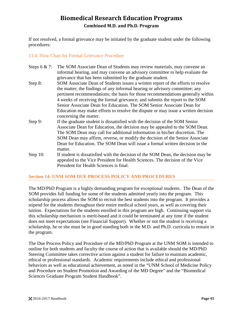If not resolved, a formal grievance may be initiated by the graduate student under the following procedures:

### <span id="page-48-0"></span>13.4: Flow Chart for Formal Grievance Procedure

| Steps $6 & 7$ : | The SOM Associate Dean of Students may review materials, may convene an           |
|-----------------|-----------------------------------------------------------------------------------|
|                 | informal hearing, and may convene an advisory committee to help evaluate the      |
|                 | grievance that has been submitted by the graduate student.                        |
| Step 8:         | SOM Associate Dean of Students issues a written report of the efforts to resolve  |
|                 | the matter; the findings of any informal hearing or advisory committee; any       |
|                 | pertinent recommendations; the basis for those recommendations generally within   |
|                 | 4 weeks of receiving the formal grievance; and submits the report to the SOM      |
|                 | Senior Associate Dean for Education. The SOM Senior Associate Dean for            |
|                 | Education may make efforts to resolve the dispute or may issue a written decision |
|                 | concerning the matter.                                                            |
| Step 9:         | If the graduate student is dissatisfied with the decision of the SOM Senior       |
|                 | Associate Dean for Education, the decision may be appealed to the SOM Dean.       |
|                 | The SOM Dean may call for additional information in his/her discretion. The       |
|                 | SOM Dean may affirm, reverse, or modify the decision of the Senior Associate      |
|                 | Dean for Education. The SOM Dean will issue a formal written decision in the      |
|                 | matter.                                                                           |
| Step $10$ :     | If student is dissatisfied with the decision of the SOM Dean, the decision may be |
|                 | appealed to the Vice President for Health Sciences. The decision of the Vice      |
|                 | President for Health Sciences is final.                                           |

### <span id="page-48-1"></span>**Section 14: UNM SOM DUE PROCESS POLICY AND PROCEDURES**

The MD/PhD Program is a highly demanding program for exceptional students. The Dean of the SOM provides full funding for some of the students admitted yearly into the program. This scholarship process allows the SOM to recruit the best students into the program. It provides a stipend for the students throughout their entire medical school years, as well as covering their tuition. Expectations for the students enrolled in this program are high. Continuing support via this scholarship mechanism is merit-based and it could be terminated at any time if the student does not meet expectations (see Financial Support). Whether or not the student is receiving a scholarship, he or she must be in good standing both in the M.D. and Ph.D. curricula to remain in the program.

The Due Process Policy and Procedure of the MD/PhD Program at the UNM SOM is intended to outline for both students and faculty the course of action that is available should the MD/PhD Steering Committee takes corrective action against a student for failure to maintain academic, ethical or professional standards. Academic requirements include ethical and professional behaviors as well as educational achievement, as noted in the "UNM School of Medicine Policy and Procedure on Student Promotion and Awarding of the MD Degree" and the "Biomedical Sciences Graduate Program Student Handbook".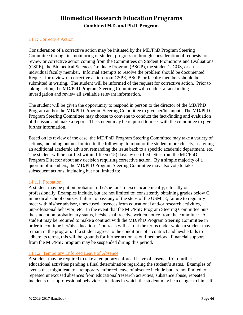### <span id="page-49-0"></span>14.1: Corrective Action

Consideration of a corrective action may be initiated by the MD/PhD Program Steering Committee through its monitoring of student progress or through consideration of requests for review or corrective action coming from the Committees on Student Promotions and Evaluations (CSPE), the Biomedical Sciences Graduate Program (BSGP), the student's COS, or an individual faculty member. Informal attempts to resolve the problem should be documented. Request for review or corrective action from CSPE, BSGP, or faculty members should be submitted in writing. The student will be informed of the request for corrective action. Prior to taking action, the MD/PhD Program Steering Committee will conduct a fact-finding investigation and review all available relevant information.

The student will be given the opportunity to respond in person to the director of the MD/PhD Program and/or the MD/PhD Program Steering Committee to give her/his input. The MD/PhD Program Steering Committee may choose to convene to conduct the fact-finding and evaluation of the issue and make a report. The student may be required to meet with the committee to give further information.

Based on its review of the case, the MD/PhD Program Steering Committee may take a variety of actions, including but not limited to the following: to monitor the student more closely, assigning an additional academic advisor, remanding the issue back to a specific academic department, etc. The student will be notified within fifteen (15) days by certified letter from the MD/PhD Program Director about any decision requiring corrective action. By a simple majority of a quorum of members, the MD/PhD Program Steering Committee may also vote to take subsequent actions, including but not limited to:

#### <span id="page-49-1"></span>14.1.1: Probation

A student may be put on probation if he/she fails to excel academically, ethically or professionally. Examples include, but are not limited to: consistently obtaining grades below G in medical school courses, failure to pass any of the steps of the USMLE, failure to regularly meet with his/her advisor, unexcused absences from educational and/or research activities, unprofessional behavior, etc. In the event that the MD/PhD Program Steering Committee puts the student on probationary status, he/she shall receive written notice from the committee. A student may be required to make a contract with the MD/PhD Program Steering Committee in order to continue her/his education. Contracts will set out the terms under which a student may remain in the program. If a student agrees to the conditions of a contract and he/she fails to adhere its terms, this will be grounds for further action as outlined below. Financial support from the MD/PhD program may be suspended during this period.

#### <span id="page-49-2"></span>14.1.2: Temporary Enforced Leave of Absence

A student may be required to take a temporary enforced leave of absence from further educational activities pending a final determination regarding the student's status. Examples of events that might lead to a temporary enforced leave of absence include but are not limited to: repeated unexcused absences from educational/research activities; substance abuse; repeated incidents of unprofessional behavior; situations in which the student may be a danger to himself,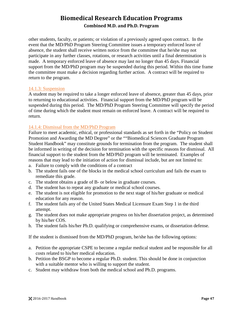other students, faculty, or patients; or violation of a previously agreed upon contract. In the event that the MD/PhD Program Steering Committee issues a temporary enforced leave of absence, the student shall receive written notice from the committee that he/she may not participate in any further classes, rotations, or research activities until a final determination is made. A temporary enforced leave of absence may last no longer than 45 days. Financial support from the MD/PhD program may be suspended during this period. Within this time frame the committee must make a decision regarding further action. A contract will be required to return to the program.

#### <span id="page-50-0"></span>14.1.3: Suspension

A student may be required to take a longer enforced leave of absence, greater than 45 days, prior to returning to educational activities. Financial support from the MD/PhD program will be suspended during this period. The MD/PhD Program Steering Committee will specify the period of time during which the student must remain on enforced leave. A contract will be required to return.

### <span id="page-50-1"></span>14.1.4: Dismissal from the MD/PhD Program

Failure to meet academic, ethical, or professional standards as set forth in the "Policy on Student Promotion and Awarding the MD Degree" or the ""Biomedical Sciences Graduate Program Student Handbook" may constitute grounds for termination from the program. The student shall be informed in writing of the decision for termination with the specific reasons for dismissal. All financial support to the student from the MD/PhD program will be terminated. Examples of reasons that may lead to the initiation of action for dismissal include, but are not limited to:

- a. Failure to comply with the conditions of a contract
- b. The student fails one of the blocks in the medical school curriculum and fails the exam to remediate this grade.
- c. The student obtains a grade of B- or below in graduate courses.
- d. The student has to repeat any graduate or medical school courses.
- e. The student is not eligible for promotion to the next stage of his/her graduate or medical education for any reason.
- f. The student fails any of the United States Medical Licensure Exam Step 1 in the third attempt.
- g. The student does not make appropriate progress on his/her dissertation project, as determined by his/her COS.
- h. The student fails his/her Ph.D. qualifying or comprehensive exams, or dissertation defense.

If the student is dismissed from the MD/PhD program, he/she has the following options:

- a. Petition the appropriate CSPE to become a regular medical student and be responsible for all costs related to his/her medical education.
- b. Petition the BSGP to become a regular Ph.D. student. This should be done in conjunction with a suitable mentor who is willing to support the student.
- c. Student may withdraw from both the medical school and Ph.D. programs.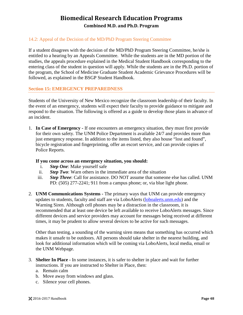### <span id="page-51-0"></span>14.2: Appeal of the Decision of the MD/PhD Program Steering Committee

If a student disagrees with the decision of the MD/PhD Program Steering Committee, he/she is entitled to a hearing by an Appeals Committee. While the students are in the MD portion of the studies, the appeals procedure explained in the Medical Student Handbook corresponding to the entering class of the student in question will apply. While the students are in the Ph.D. portion of the program, the School of Medicine Graduate Student Academic Grievance Procedures will be followed, as explained in the BSGP Student Handbook.

#### <span id="page-51-1"></span>**Section 15: EMERGENCY PREPAREDNESS**

Students of the University of New Mexico recognize the classroom leadership of their faculty. In the event of an emergency, students will expect their faculty to provide guidance to mitigate and respond to the situation. The following is offered as a guide to develop those plans in advance of an incident.

1. **In Case of Emergency -** If one encounters an emergency situation, they must first provide for their own safety. The UNM Police Department is available 24/7 and provides more than just emergency response. In addition to the items listed, they also house "lost and found", bicycle registration and fingerprinting, offer an escort service, and can provide copies of Police Reports.

#### **If you come across an emergency situation, you should:**

- i. *Step One*: Make yourself safe
- ii. *Step Two*: Warn others in the immediate area of the situation
- iii. *Step Three*: Call for assistance. DO NOT assume that someone else has called. UNM PD: (505) 277-2241; 911 from a campus phone; or, via blue light phone.
- 2. **UNM Communications Systems -** The primary ways that UNM can provide emergency updates to students, faculty and staff are via LoboAlerts [\(loboalerts.unm.edu\)](http://loboalerts.unm.edu/) and the Warning Siren. Although cell phones may be a distraction in the classroom, it is recommended that at least one device be left available to receive LoboAlerts messages. Since different devices and service providers may account for messages being received at different times, it may be prudent to allow several devices to be active for such messages.

Other than testing, a sounding of the warning siren means that something has occurred which makes it unsafe to be outdoors. All persons should take shelter in the nearest building, and look for additional information which will be coming via LoboAlerts, local media, email or the UNM Webpage.

- 3. **Shelter In Place -** In some instances, it is safer to shelter in place and wait for further instructions. If you are instructed to Shelter in Place, then:
	- a. Remain calm
	- b. Move away from windows and glass.
	- c. Silence your cell phones.